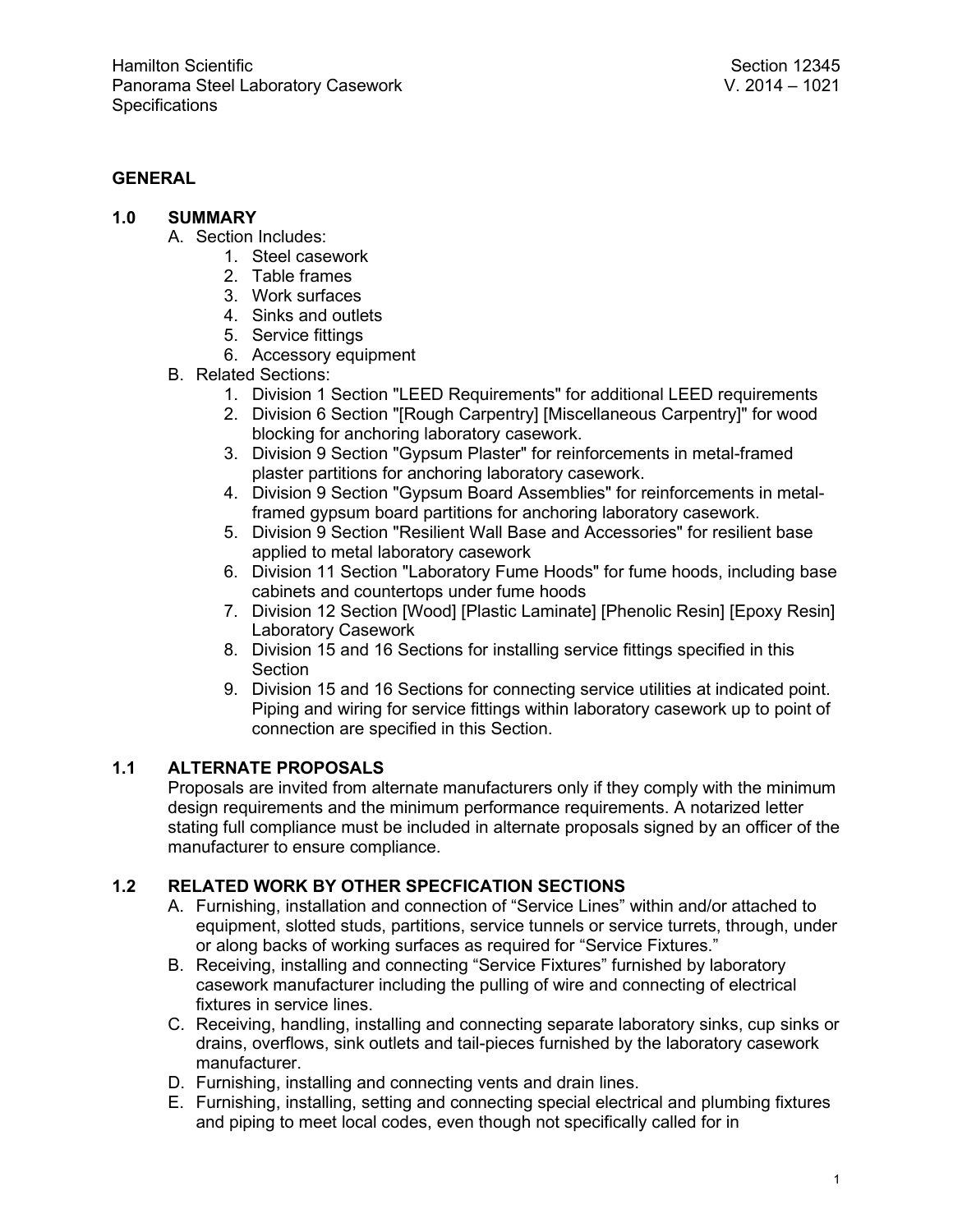### **GENERAL**

- **1.0 SUMMARY**
	- A. Section Includes:
		- 1. Steel casework
		- 2. Table frames
		- 3. Work surfaces
		- 4. Sinks and outlets
		- 5. Service fittings
		- 6. Accessory equipment
	- B. Related Sections:
		- 1. Division 1 Section "LEED Requirements" for additional LEED requirements
		- 2. Division 6 Section "[Rough Carpentry] [Miscellaneous Carpentry]" for wood blocking for anchoring laboratory casework.
		- 3. Division 9 Section "Gypsum Plaster" for reinforcements in metal-framed plaster partitions for anchoring laboratory casework.
		- 4. Division 9 Section "Gypsum Board Assemblies" for reinforcements in metalframed gypsum board partitions for anchoring laboratory casework.
		- 5. Division 9 Section "Resilient Wall Base and Accessories" for resilient base applied to metal laboratory casework
		- 6. Division 11 Section "Laboratory Fume Hoods" for fume hoods, including base cabinets and countertops under fume hoods
		- 7. Division 12 Section [Wood] [Plastic Laminate] [Phenolic Resin] [Epoxy Resin] Laboratory Casework
		- 8. Division 15 and 16 Sections for installing service fittings specified in this **Section**
		- 9. Division 15 and 16 Sections for connecting service utilities at indicated point. Piping and wiring for service fittings within laboratory casework up to point of connection are specified in this Section.

### **1.1 ALTERNATE PROPOSALS**

Proposals are invited from alternate manufacturers only if they comply with the minimum design requirements and the minimum performance requirements. A notarized letter stating full compliance must be included in alternate proposals signed by an officer of the manufacturer to ensure compliance.

### **1.2 RELATED WORK BY OTHER SPECFICATION SECTIONS**

- A. Furnishing, installation and connection of "Service Lines" within and/or attached to equipment, slotted studs, partitions, service tunnels or service turrets, through, under or along backs of working surfaces as required for "Service Fixtures."
- B. Receiving, installing and connecting "Service Fixtures" furnished by laboratory casework manufacturer including the pulling of wire and connecting of electrical fixtures in service lines.
- C. Receiving, handling, installing and connecting separate laboratory sinks, cup sinks or drains, overflows, sink outlets and tail-pieces furnished by the laboratory casework manufacturer.
- D. Furnishing, installing and connecting vents and drain lines.
- E. Furnishing, installing, setting and connecting special electrical and plumbing fixtures and piping to meet local codes, even though not specifically called for in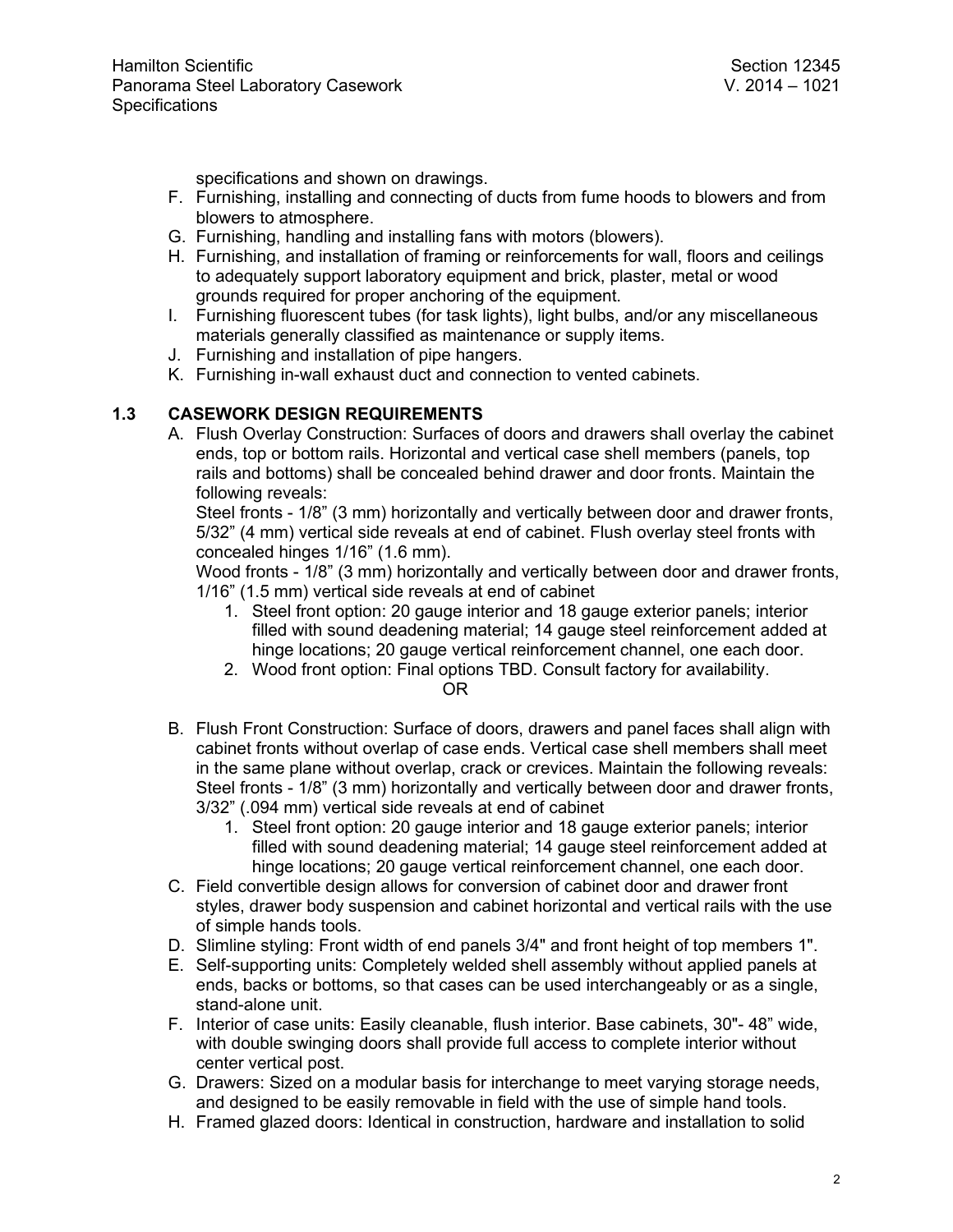specifications and shown on drawings.

- F. Furnishing, installing and connecting of ducts from fume hoods to blowers and from blowers to atmosphere.
- G. Furnishing, handling and installing fans with motors (blowers).
- H. Furnishing, and installation of framing or reinforcements for wall, floors and ceilings to adequately support laboratory equipment and brick, plaster, metal or wood grounds required for proper anchoring of the equipment.
- I. Furnishing fluorescent tubes (for task lights), light bulbs, and/or any miscellaneous materials generally classified as maintenance or supply items.
- J. Furnishing and installation of pipe hangers.
- K. Furnishing in-wall exhaust duct and connection to vented cabinets.

### **1.3 CASEWORK DESIGN REQUIREMENTS**

A. Flush Overlay Construction: Surfaces of doors and drawers shall overlay the cabinet ends, top or bottom rails. Horizontal and vertical case shell members (panels, top rails and bottoms) shall be concealed behind drawer and door fronts. Maintain the following reveals:

Steel fronts - 1/8" (3 mm) horizontally and vertically between door and drawer fronts, 5/32" (4 mm) vertical side reveals at end of cabinet. Flush overlay steel fronts with concealed hinges 1/16" (1.6 mm).

Wood fronts - 1/8" (3 mm) horizontally and vertically between door and drawer fronts, 1/16" (1.5 mm) vertical side reveals at end of cabinet

- 1. Steel front option: 20 gauge interior and 18 gauge exterior panels; interior filled with sound deadening material; 14 gauge steel reinforcement added at hinge locations; 20 gauge vertical reinforcement channel, one each door.
- 2. Wood front option: Final options TBD. Consult factory for availability.

#### OR

- B. Flush Front Construction: Surface of doors, drawers and panel faces shall align with cabinet fronts without overlap of case ends. Vertical case shell members shall meet in the same plane without overlap, crack or crevices. Maintain the following reveals: Steel fronts - 1/8" (3 mm) horizontally and vertically between door and drawer fronts, 3/32" (.094 mm) vertical side reveals at end of cabinet
	- 1. Steel front option: 20 gauge interior and 18 gauge exterior panels; interior filled with sound deadening material; 14 gauge steel reinforcement added at hinge locations; 20 gauge vertical reinforcement channel, one each door.
- C. Field convertible design allows for conversion of cabinet door and drawer front styles, drawer body suspension and cabinet horizontal and vertical rails with the use of simple hands tools.
- D. Slimline styling: Front width of end panels 3/4" and front height of top members 1".
- E. Self-supporting units: Completely welded shell assembly without applied panels at ends, backs or bottoms, so that cases can be used interchangeably or as a single, stand-alone unit.
- F. Interior of case units: Easily cleanable, flush interior. Base cabinets, 30"- 48" wide, with double swinging doors shall provide full access to complete interior without center vertical post.
- G. Drawers: Sized on a modular basis for interchange to meet varying storage needs, and designed to be easily removable in field with the use of simple hand tools.
- H. Framed glazed doors: Identical in construction, hardware and installation to solid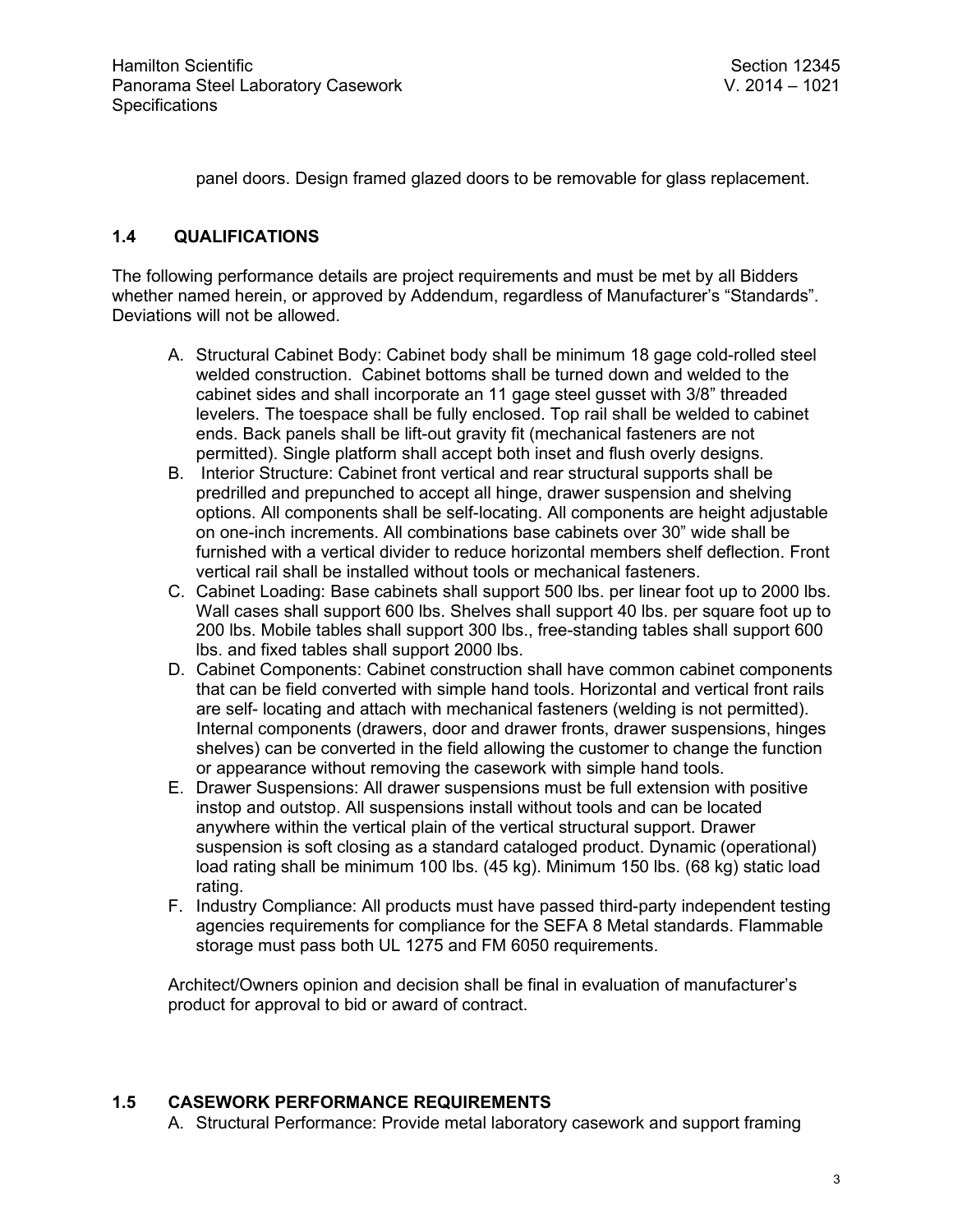panel doors. Design framed glazed doors to be removable for glass replacement.

### **1.4 QUALIFICATIONS**

The following performance details are project requirements and must be met by all Bidders whether named herein, or approved by Addendum, regardless of Manufacturer's "Standards". Deviations will not be allowed.

- A. Structural Cabinet Body: Cabinet body shall be minimum 18 gage cold-rolled steel welded construction. Cabinet bottoms shall be turned down and welded to the cabinet sides and shall incorporate an 11 gage steel gusset with 3/8" threaded levelers. The toespace shall be fully enclosed. Top rail shall be welded to cabinet ends. Back panels shall be lift-out gravity fit (mechanical fasteners are not permitted). Single platform shall accept both inset and flush overly designs.
- B. Interior Structure: Cabinet front vertical and rear structural supports shall be predrilled and prepunched to accept all hinge, drawer suspension and shelving options. All components shall be self-locating. All components are height adjustable on one-inch increments. All combinations base cabinets over 30" wide shall be furnished with a vertical divider to reduce horizontal members shelf deflection. Front vertical rail shall be installed without tools or mechanical fasteners.
- C. Cabinet Loading: Base cabinets shall support 500 lbs. per linear foot up to 2000 lbs. Wall cases shall support 300 lbs. Shelves shall support 40 lbs. per square foot up to 200 lbs. Mobile tables shall support 300 lbs., free-standing tables shall support 600 lbs. and fixed tables shall support 2000 lbs.
- D. Cabinet Components: Cabinet construction shall have common cabinet components that can be field converted with simple hand tools. Horizontal and vertical front rails are self- locating and attach with mechanical fasteners (welding is not permitted). Internal components (drawers, door and drawer fronts, drawer suspensions, hinges shelves) can be converted in the field allowing the customer to change the function or appearance without removing the casework with simple hand tools.
- E. Drawer Suspensions: All drawer suspensions must be full extension with positive instop and outstop. All suspensions install without tools and can be located anywhere within the vertical plain of the vertical structural support. Drawer suspension is soft closing as a standard cataloged product. Dynamic (operational) load rating shall be minimum 100 lbs. (45 kg). Minimum 150 lbs. (68 kg) static load rating.
- F. Industry Compliance: All products must have passed third-party independent testing agencies requirements for compliance for the SEFA 8 Metal standards. Flammable storage must pass both UL 1275 and FM 6050 requirements.

Architect/Owners opinion and decision shall be final in evaluation of manufacturer's product for approval to bid or award of contract.

### **1.5 CASEWORK PERFORMANCE REQUIREMENTS**

A. Structural Performance: Provide metal laboratory casework and support framing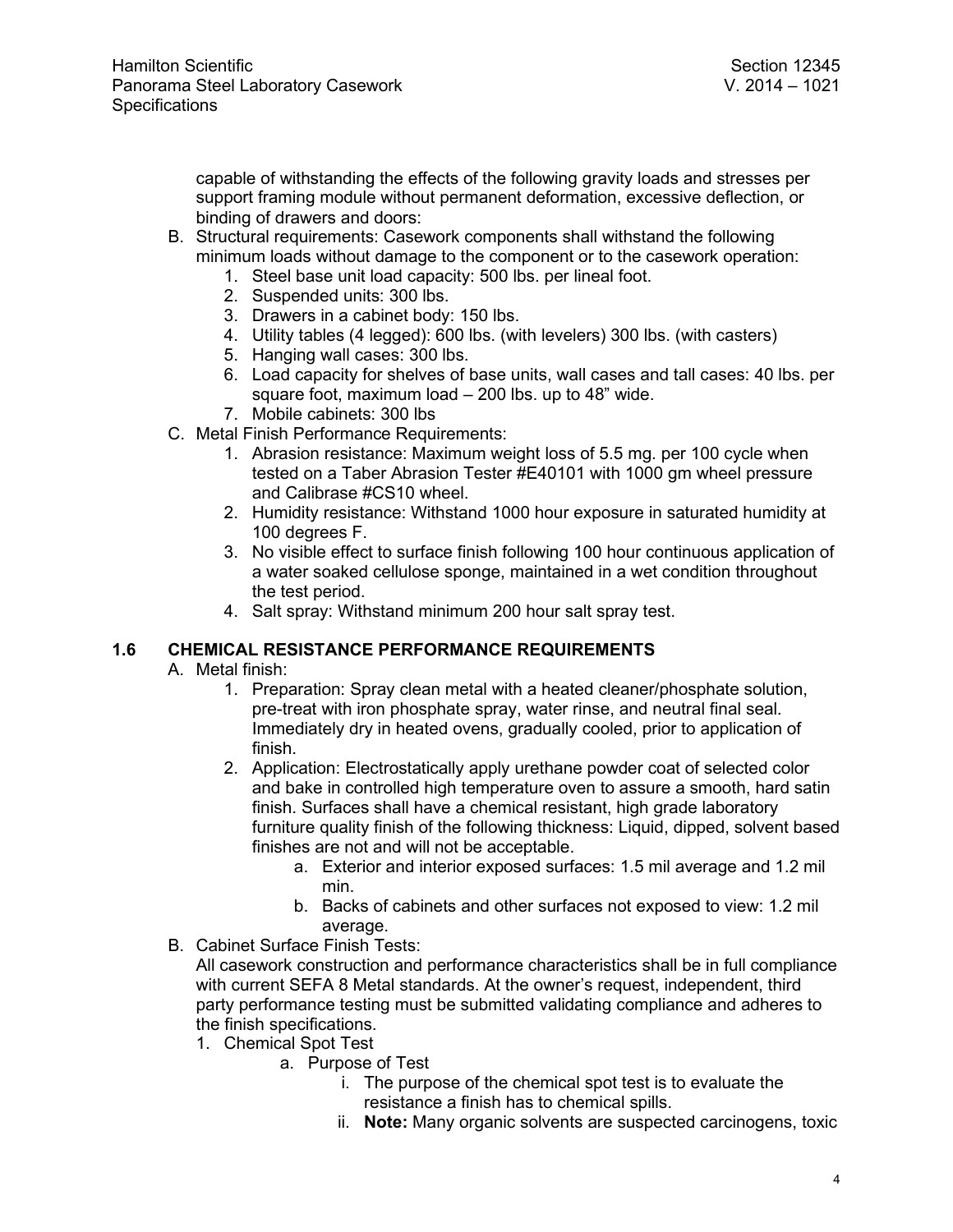capable of withstanding the effects of the following gravity loads and stresses per support framing module without permanent deformation, excessive deflection, or binding of drawers and doors:

- B. Structural requirements: Casework components shall withstand the following minimum loads without damage to the component or to the casework operation:
	- 1. Steel base unit load capacity: 500 lbs. per lineal foot.
	- 2. Suspended units: 300 lbs.
	- 3. Drawers in a cabinet body: 150 lbs.
	- 4. Utility tables (4 legged): 600 lbs. (with levelers) 300 lbs. (with casters)
	- 5. Hanging wall cases: 300 lbs.
	- 6. Load capacity for shelves of base units, wall cases and tall cases: 40 lbs. per square foot, maximum load – 200 lbs. up to 48" wide.
	- 7. Mobile cabinets: 300 lbs
- C. Metal Finish Performance Requirements:
	- 1. Abrasion resistance: Maximum weight loss of 5.5 mg. per 100 cycle when tested on a Taber Abrasion Tester #E40101 with 1000 gm wheel pressure and Calibrase #CS10 wheel.
	- 2. Humidity resistance: Withstand 1000 hour exposure in saturated humidity at 100 degrees F.
	- 3. No visible effect to surface finish following 100 hour continuous application of a water soaked cellulose sponge, maintained in a wet condition throughout the test period.
	- 4. Salt spray: Withstand minimum 200 hour salt spray test.

### **1.6 CHEMICAL RESISTANCE PERFORMANCE REQUIREMENTS**

- A. Metal finish:
	- 1. Preparation: Spray clean metal with a heated cleaner/phosphate solution, pre-treat with iron phosphate spray, water rinse, and neutral final seal. Immediately dry in heated ovens, gradually cooled, prior to application of finish.
	- 2. Application: Electrostatically apply urethane powder coat of selected color and bake in controlled high temperature oven to assure a smooth, hard satin finish. Surfaces shall have a chemical resistant, high grade laboratory furniture quality finish of the following thickness: Liquid, dipped, solvent based finishes are not and will not be acceptable.
		- a. Exterior and interior exposed surfaces: 1.5 mil average and 1.2 mil min.
		- b. Backs of cabinets and other surfaces not exposed to view: 1.2 mil average.
- B. Cabinet Surface Finish Tests:

All casework construction and performance characteristics shall be in full compliance with current SEFA 8 Metal standards. At the owner's request, independent, third party performance testing must be submitted validating compliance and adheres to the finish specifications.

- 1. Chemical Spot Test
	- a. Purpose of Test
		- i. The purpose of the chemical spot test is to evaluate the resistance a finish has to chemical spills.
		- ii. **Note:** Many organic solvents are suspected carcinogens, toxic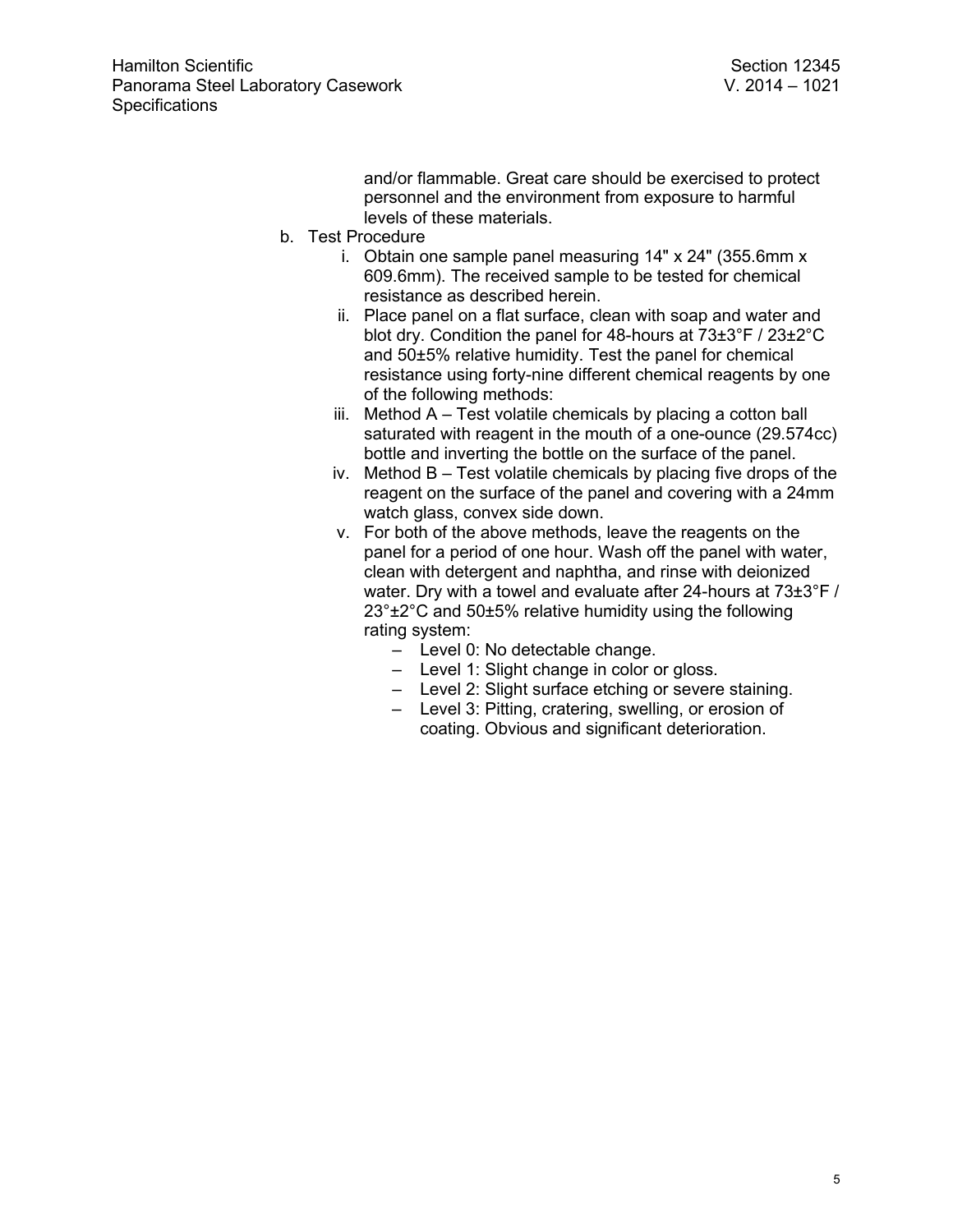and/or flammable. Great care should be exercised to protect personnel and the environment from exposure to harmful levels of these materials.

- b. Test Procedure
	- i. Obtain one sample panel measuring 14" x 24" (355.6mm x 609.6mm). The received sample to be tested for chemical resistance as described herein.
	- ii. Place panel on a flat surface, clean with soap and water and blot dry. Condition the panel for 48-hours at 73±3°F / 23±2°C and 50±5% relative humidity. Test the panel for chemical resistance using forty-nine different chemical reagents by one of the following methods:
	- iii. Method A Test volatile chemicals by placing a cotton ball saturated with reagent in the mouth of a one-ounce (29.574cc) bottle and inverting the bottle on the surface of the panel.
	- iv. Method B Test volatile chemicals by placing five drops of the reagent on the surface of the panel and covering with a 24mm watch glass, convex side down.
	- v. For both of the above methods, leave the reagents on the panel for a period of one hour. Wash off the panel with water, clean with detergent and naphtha, and rinse with deionized water. Dry with a towel and evaluate after 24-hours at 73±3°F / 23°±2°C and 50±5% relative humidity using the following rating system:
		- Level 0: No detectable change.
		- Level 1: Slight change in color or gloss.
		- Level 2: Slight surface etching or severe staining.
		- Level 3: Pitting, cratering, swelling, or erosion of coating. Obvious and significant deterioration.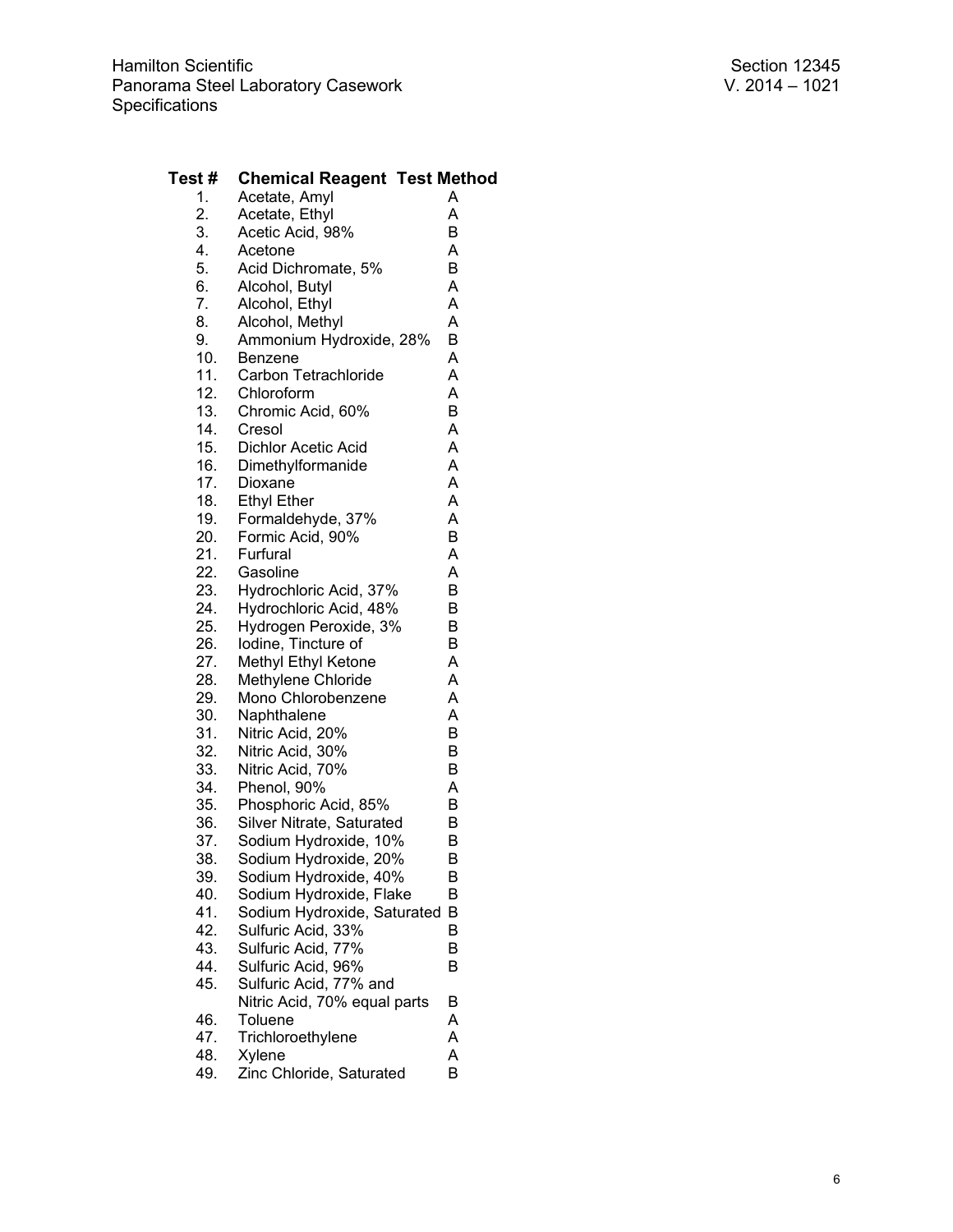#### **Test # Chemical Reagent Test Method**<br>1. Acetate, Amyl A 1. Acetate, Amyl **A**<br>2. Acetate, Ethyl **A** Acetate, Ethyl A<br>
Acetic Acid, 98% B 3. Acetic Acid, 98% B<br>4. Acetone A 4. Acetone 6. A<br>5. Acid Dichromate, 5% B Acid Dichromate, 5% 6. Alcohol, Butyl (a. )<br>7. Alcohol, Ethyl (a. ) Alcohol, Ethyl 8. Alcohol, Methyl A 9. Ammonium Hydroxide, 28% B<br>10. Benzene A 10. Benzene<br>11. Carbon Tetrachloride A 11. Carbon Tetrachloride<br>12. Chloroform 12. Chloroform A<br>13. Chromic Acid. 60% B 13. Chromic Acid, 60% B<br>14. Cresol A Cresol 15. Dichlor Acetic Acid A 16. Dimethylformanide A<br>17. Dioxane A Dioxane 18. Ethyl Ether A<br>19. Formaldehyde, 37% A Formaldehyde, 37% A<br>Formic Acid, 90% B 20. Formic Acid, 90% 21. Furfural A 22. Gasoline 1992. A<br>23. Hydrochloric Acid, 37% B Hydrochloric Acid, 37% 24. Hydrochloric Acid, 48% B<br>25. Hydrogen Peroxide, 3% B **12. Hydrogen Peroxide, 3% B**<br> **1** Iodine. Tincture of B 26. Iodine, Tincture of 27. Methyl Ethyl Ketone A<br>28. Methylene Chloride A 28. Methylene Chloride<br>29. Mono Chlorobenzen Mono Chlorobenzene A 30. Naphthalene A<br>31. Nitric Acid, 20% B Nitric Acid, 20% B<br>Nitric Acid. 30% B 32. Nitric Acid, 30% B<br>33. Nitric Acid. 70% B 33. Nitric Acid, 70% B<br>34. Phenol, 90% A 34. Phenol, 90% A<br>35. Phosphoric Acid, 85% B Phosphoric Acid, 85% B<br>Silver Nitrate. Saturated B 36. Silver Nitrate, Saturated B<br>37. Sodium Hydroxide, 10% B Sodium Hydroxide, 10% B<br>Sodium Hydroxide, 20% B 38. Sodium Hydroxide, 20% 39. Sodium Hydroxide, 40% B<br>40. Sodium Hydroxide, Flake B Sodium Hydroxide, Flake 41. Sodium Hydroxide, Saturated B 42. Sulfuric Acid, 33% B<br>43. Sulfuric Acid, 77% B 43. Sulfuric Acid, 77% B<br>44. Sulfuric Acid, 96% B 44. Sulfuric Acid, 96%<br>45. Sulfuric Acid, 77% Sulfuric Acid, 77% and Nitric Acid, 70% equal parts B 46. Toluene A 47. Trichloroethylene<br>48. Xvlene Xylene A

49. Zinc Chloride, Saturated B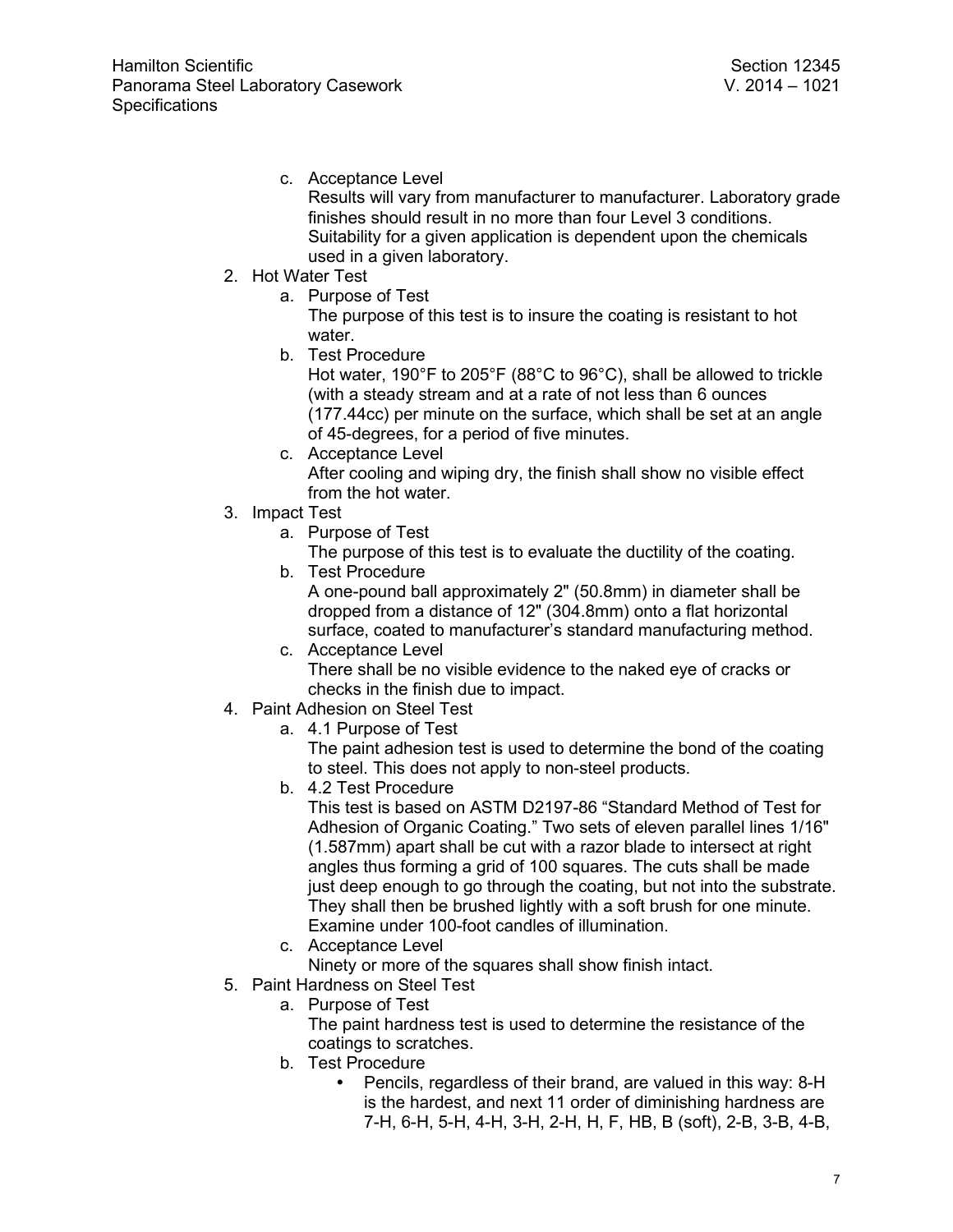c. Acceptance Level

Results will vary from manufacturer to manufacturer. Laboratory grade finishes should result in no more than four Level 3 conditions. Suitability for a given application is dependent upon the chemicals used in a given laboratory.

- 2. Hot Water Test
	- a. Purpose of Test

The purpose of this test is to insure the coating is resistant to hot water.

b. Test Procedure

Hot water, 190°F to 205°F (88°C to 96°C), shall be allowed to trickle (with a steady stream and at a rate of not less than 6 ounces (177.44cc) per minute on the surface, which shall be set at an angle of 45-degrees, for a period of five minutes.

- c. Acceptance Level After cooling and wiping dry, the finish shall show no visible effect from the hot water.
- 3. Impact Test
	- a. Purpose of Test

The purpose of this test is to evaluate the ductility of the coating.

b. Test Procedure

A one-pound ball approximately 2" (50.8mm) in diameter shall be dropped from a distance of 12" (304.8mm) onto a flat horizontal surface, coated to manufacturer's standard manufacturing method.

- c. Acceptance Level There shall be no visible evidence to the naked eye of cracks or checks in the finish due to impact.
- 4. Paint Adhesion on Steel Test
	- a. 4.1 Purpose of Test

The paint adhesion test is used to determine the bond of the coating to steel. This does not apply to non-steel products.

b. 4.2 Test Procedure

This test is based on ASTM D2197-86 "Standard Method of Test for Adhesion of Organic Coating." Two sets of eleven parallel lines 1/16" (1.587mm) apart shall be cut with a razor blade to intersect at right angles thus forming a grid of 100 squares. The cuts shall be made just deep enough to go through the coating, but not into the substrate. They shall then be brushed lightly with a soft brush for one minute. Examine under 100-foot candles of illumination.

- c. Acceptance Level
	- Ninety or more of the squares shall show finish intact.
- 5. Paint Hardness on Steel Test
	- a. Purpose of Test

The paint hardness test is used to determine the resistance of the coatings to scratches.

- b. Test Procedure
	- Pencils, regardless of their brand, are valued in this way: 8-H is the hardest, and next 11 order of diminishing hardness are 7-H, 6-H, 5-H, 4-H, 3-H, 2-H, H, F, HB, B (soft), 2-B, 3-B, 4-B,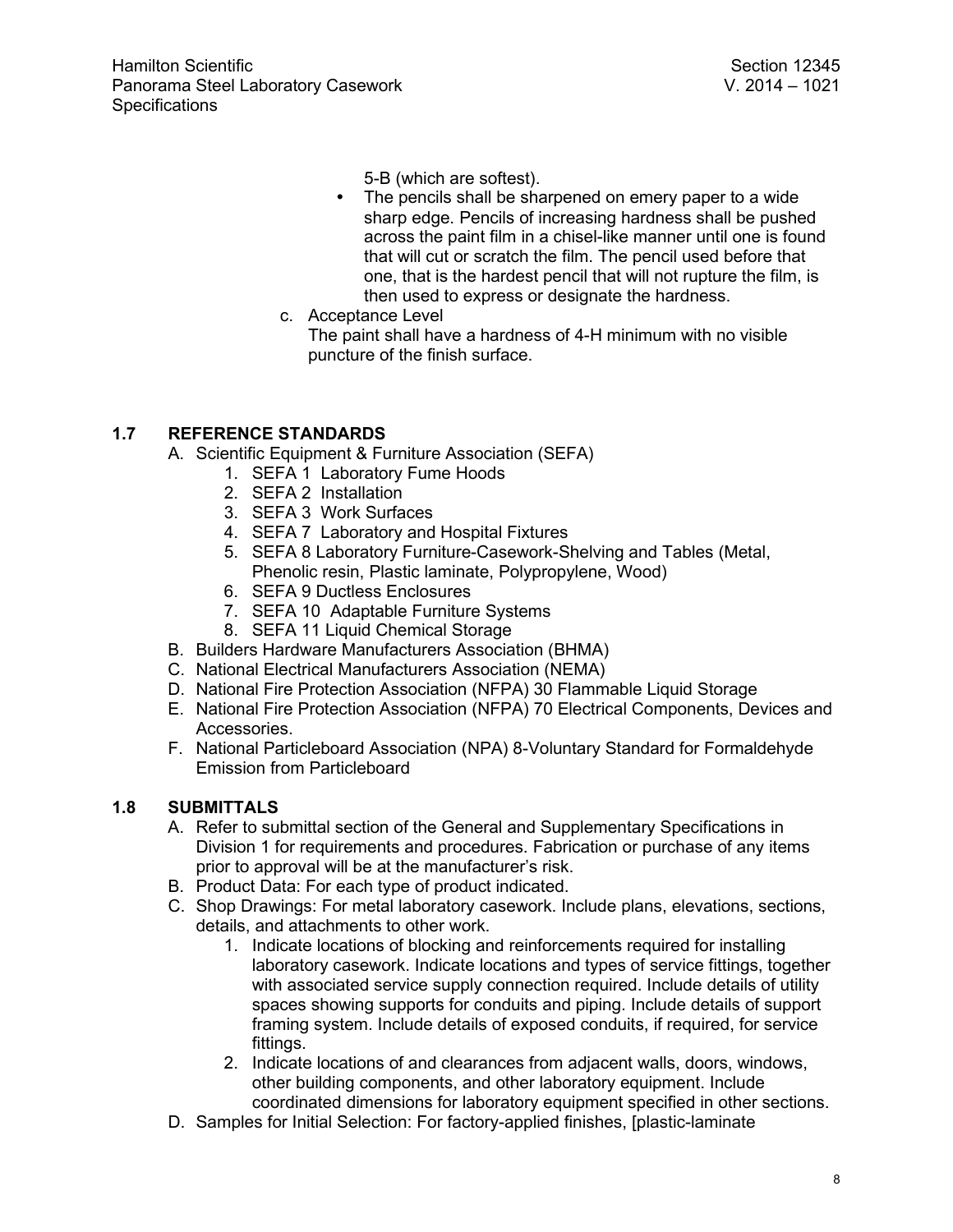5-B (which are softest).

- The pencils shall be sharpened on emery paper to a wide sharp edge. Pencils of increasing hardness shall be pushed across the paint film in a chisel-like manner until one is found that will cut or scratch the film. The pencil used before that one, that is the hardest pencil that will not rupture the film, is then used to express or designate the hardness.
- c. Acceptance Level The paint shall have a hardness of 4-H minimum with no visible puncture of the finish surface.

# **1.7 REFERENCE STANDARDS**

A. Scientific Equipment & Furniture Association (SEFA)

- 1. SEFA 1 Laboratory Fume Hoods
	- 2. SEFA 2 Installation
	- 3. SEFA 3 Work Surfaces
	- 4. SEFA 7 Laboratory and Hospital Fixtures
	- 5. SEFA 8 Laboratory Furniture-Casework-Shelving and Tables (Metal, Phenolic resin, Plastic laminate, Polypropylene, Wood)
- 6. SEFA 9 Ductless Enclosures
- 7. SEFA 10 Adaptable Furniture Systems
- 8. SEFA 11 Liquid Chemical Storage
- B. Builders Hardware Manufacturers Association (BHMA)
- C. National Electrical Manufacturers Association (NEMA)
- D. National Fire Protection Association (NFPA) 30 Flammable Liquid Storage
- E. National Fire Protection Association (NFPA) 70 Electrical Components, Devices and Accessories.
- F. National Particleboard Association (NPA) 8-Voluntary Standard for Formaldehyde Emission from Particleboard

# **1.8 SUBMITTALS**

- A. Refer to submittal section of the General and Supplementary Specifications in Division 1 for requirements and procedures. Fabrication or purchase of any items prior to approval will be at the manufacturer's risk.
- B. Product Data: For each type of product indicated.
- C. Shop Drawings: For metal laboratory casework. Include plans, elevations, sections, details, and attachments to other work.
	- 1. Indicate locations of blocking and reinforcements required for installing laboratory casework. Indicate locations and types of service fittings, together with associated service supply connection required. Include details of utility spaces showing supports for conduits and piping. Include details of support framing system. Include details of exposed conduits, if required, for service fittings.
	- 2. Indicate locations of and clearances from adjacent walls, doors, windows, other building components, and other laboratory equipment. Include coordinated dimensions for laboratory equipment specified in other sections.
- D. Samples for Initial Selection: For factory-applied finishes, [plastic-laminate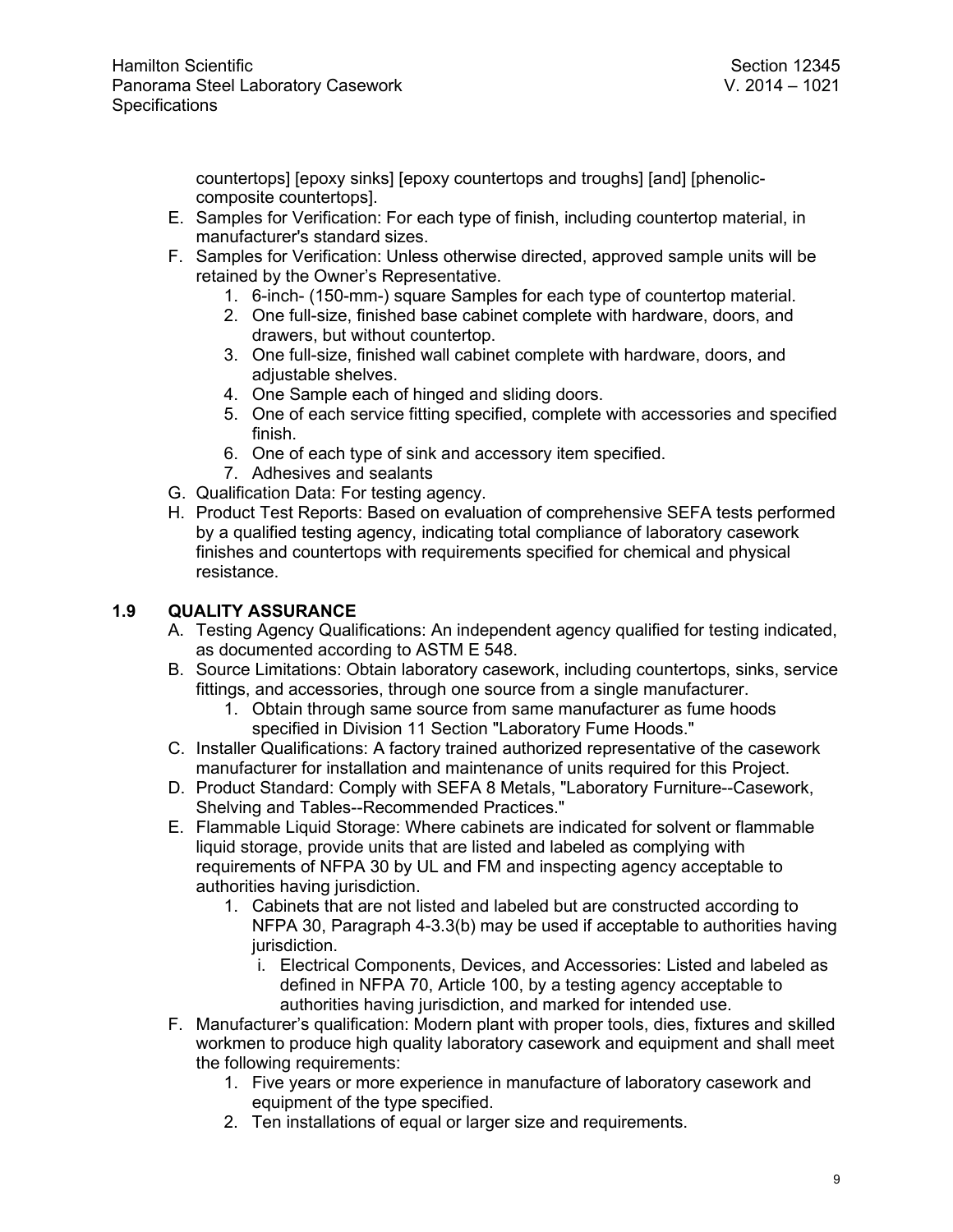countertops] [epoxy sinks] [epoxy countertops and troughs] [and] [phenoliccomposite countertops].

- E. Samples for Verification: For each type of finish, including countertop material, in manufacturer's standard sizes.
- F. Samples for Verification: Unless otherwise directed, approved sample units will be retained by the Owner's Representative.
	- 1. 6-inch- (150-mm-) square Samples for each type of countertop material.
	- 2. One full-size, finished base cabinet complete with hardware, doors, and drawers, but without countertop.
	- 3. One full-size, finished wall cabinet complete with hardware, doors, and adjustable shelves.
	- 4. One Sample each of hinged and sliding doors.
	- 5. One of each service fitting specified, complete with accessories and specified finish.
	- 6. One of each type of sink and accessory item specified.
	- 7. Adhesives and sealants
- G. Qualification Data: For testing agency.
- H. Product Test Reports: Based on evaluation of comprehensive SEFA tests performed by a qualified testing agency, indicating total compliance of laboratory casework finishes and countertops with requirements specified for chemical and physical resistance.

## **1.9 QUALITY ASSURANCE**

- A. Testing Agency Qualifications: An independent agency qualified for testing indicated, as documented according to ASTM E 548.
- B. Source Limitations: Obtain laboratory casework, including countertops, sinks, service fittings, and accessories, through one source from a single manufacturer.
	- 1. Obtain through same source from same manufacturer as fume hoods specified in Division 11 Section "Laboratory Fume Hoods."
- C. Installer Qualifications: A factory trained authorized representative of the casework manufacturer for installation and maintenance of units required for this Project.
- D. Product Standard: Comply with SEFA 8 Metals, "Laboratory Furniture--Casework, Shelving and Tables--Recommended Practices."
- E. Flammable Liquid Storage: Where cabinets are indicated for solvent or flammable liquid storage, provide units that are listed and labeled as complying with requirements of NFPA 30 by UL and FM and inspecting agency acceptable to authorities having jurisdiction.
	- 1. Cabinets that are not listed and labeled but are constructed according to NFPA 30, Paragraph 4-3.3(b) may be used if acceptable to authorities having jurisdiction.
		- i. Electrical Components, Devices, and Accessories: Listed and labeled as defined in NFPA 70, Article 100, by a testing agency acceptable to authorities having jurisdiction, and marked for intended use.
- F. Manufacturer's qualification: Modern plant with proper tools, dies, fixtures and skilled workmen to produce high quality laboratory casework and equipment and shall meet the following requirements:
	- 1. Five years or more experience in manufacture of laboratory casework and equipment of the type specified.
	- 2. Ten installations of equal or larger size and requirements.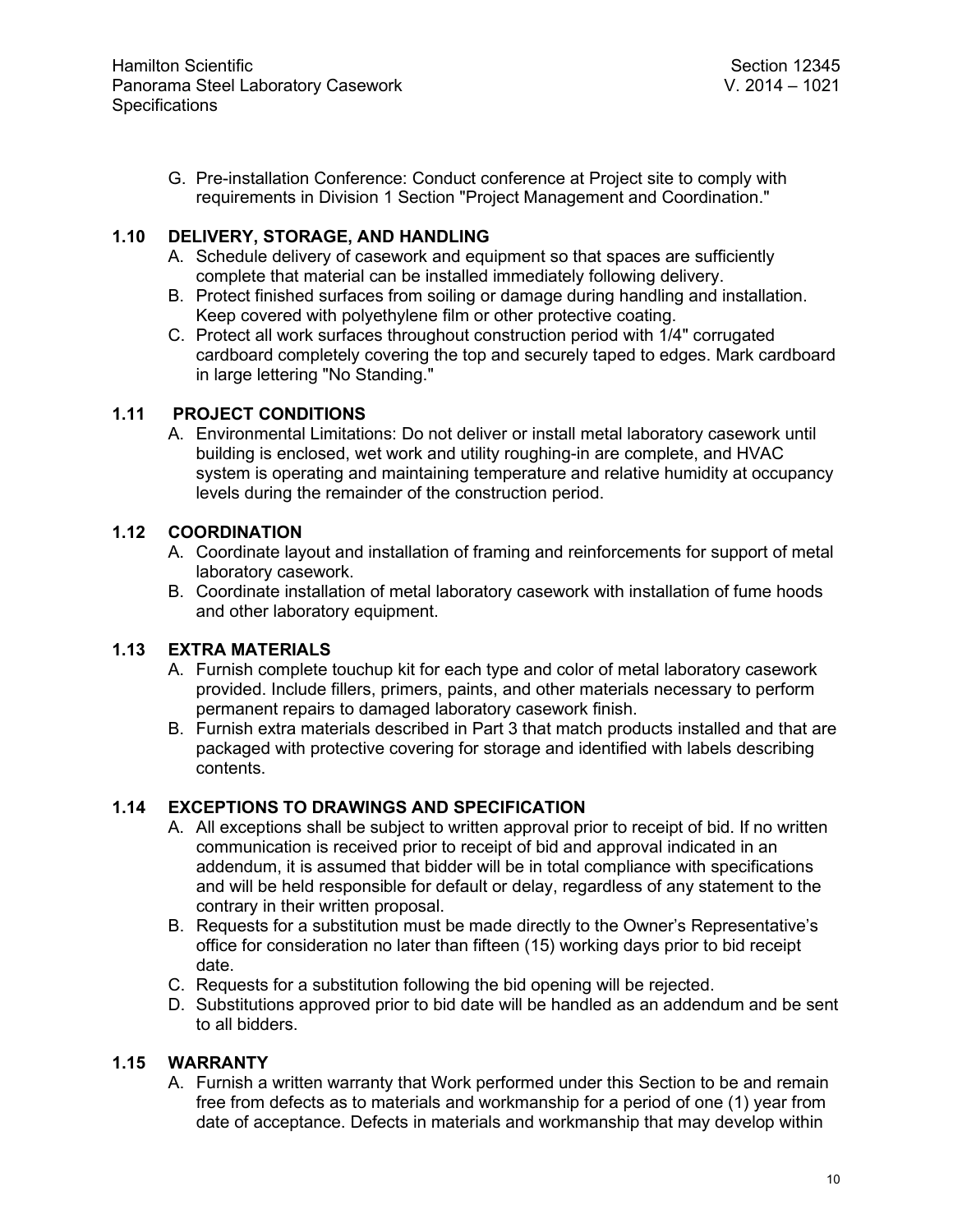G. Pre-installation Conference: Conduct conference at Project site to comply with requirements in Division 1 Section "Project Management and Coordination."

## **1.10 DELIVERY, STORAGE, AND HANDLING**

- A. Schedule delivery of casework and equipment so that spaces are sufficiently complete that material can be installed immediately following delivery.
- B. Protect finished surfaces from soiling or damage during handling and installation. Keep covered with polyethylene film or other protective coating.
- C. Protect all work surfaces throughout construction period with 1/4" corrugated cardboard completely covering the top and securely taped to edges. Mark cardboard in large lettering "No Standing."

### **1.11 PROJECT CONDITIONS**

A. Environmental Limitations: Do not deliver or install metal laboratory casework until building is enclosed, wet work and utility roughing-in are complete, and HVAC system is operating and maintaining temperature and relative humidity at occupancy levels during the remainder of the construction period.

### **1.12 COORDINATION**

- A. Coordinate layout and installation of framing and reinforcements for support of metal laboratory casework.
- B. Coordinate installation of metal laboratory casework with installation of fume hoods and other laboratory equipment.

# **1.13 EXTRA MATERIALS**

- A. Furnish complete touchup kit for each type and color of metal laboratory casework provided. Include fillers, primers, paints, and other materials necessary to perform permanent repairs to damaged laboratory casework finish.
- B. Furnish extra materials described in Part 3 that match products installed and that are packaged with protective covering for storage and identified with labels describing contents.

### **1.14 EXCEPTIONS TO DRAWINGS AND SPECIFICATION**

- A. All exceptions shall be subject to written approval prior to receipt of bid. If no written communication is received prior to receipt of bid and approval indicated in an addendum, it is assumed that bidder will be in total compliance with specifications and will be held responsible for default or delay, regardless of any statement to the contrary in their written proposal.
- B. Requests for a substitution must be made directly to the Owner's Representative's office for consideration no later than fifteen (15) working days prior to bid receipt date.
- C. Requests for a substitution following the bid opening will be rejected.
- D. Substitutions approved prior to bid date will be handled as an addendum and be sent to all bidders.

### **1.15 WARRANTY**

A. Furnish a written warranty that Work performed under this Section to be and remain free from defects as to materials and workmanship for a period of one (1) year from date of acceptance. Defects in materials and workmanship that may develop within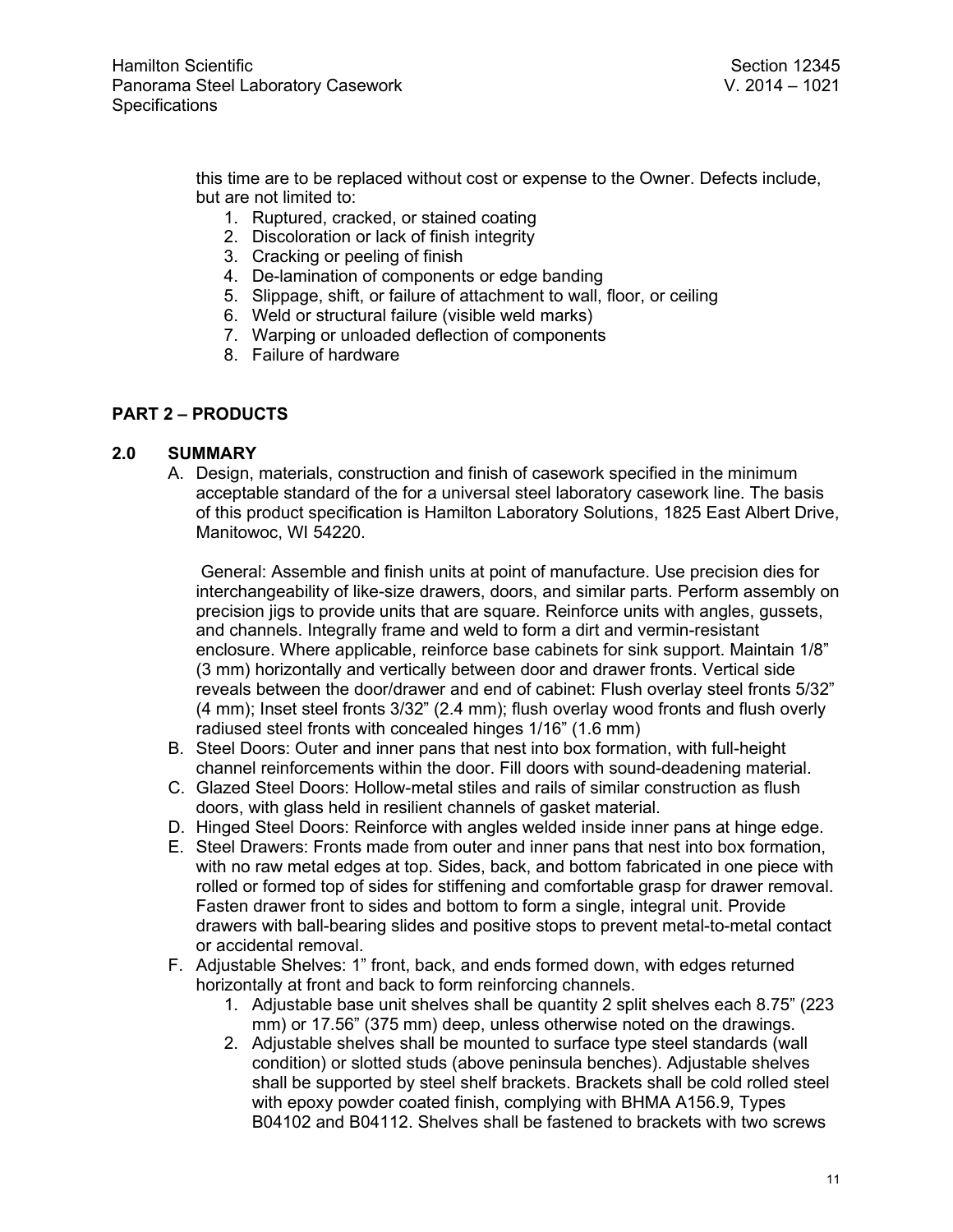this time are to be replaced without cost or expense to the Owner. Defects include, but are not limited to:

- 1. Ruptured, cracked, or stained coating
- 2. Discoloration or lack of finish integrity
- 3. Cracking or peeling of finish
- 4. De-lamination of components or edge banding
- 5. Slippage, shift, or failure of attachment to wall, floor, or ceiling
- 6. Weld or structural failure (visible weld marks)
- 7. Warping or unloaded deflection of components
- 8. Failure of hardware

### **PART 2 – PRODUCTS**

#### **2.0 SUMMARY**

A. Design, materials, construction and finish of casework specified in the minimum acceptable standard of the for a universal steel laboratory casework line. The basis of this product specification is Hamilton Laboratory Solutions, 1825 East Albert Drive, Manitowoc, WI 54220.

General: Assemble and finish units at point of manufacture. Use precision dies for interchangeability of like-size drawers, doors, and similar parts. Perform assembly on precision jigs to provide units that are square. Reinforce units with angles, gussets, and channels. Integrally frame and weld to form a dirt and vermin-resistant enclosure. Where applicable, reinforce base cabinets for sink support. Maintain 1/8" (3 mm) horizontally and vertically between door and drawer fronts. Vertical side reveals between the door/drawer and end of cabinet: Flush overlay steel fronts 5/32" (4 mm); Inset steel fronts 3/32" (2.4 mm); flush overlay wood fronts and flush overly radiused steel fronts with concealed hinges 1/16" (1.6 mm)

- B. Steel Doors: Outer and inner pans that nest into box formation, with full-height channel reinforcements within the door. Fill doors with sound-deadening material.
- C. Glazed Steel Doors: Hollow-metal stiles and rails of similar construction as flush doors, with glass held in resilient channels of gasket material.
- D. Hinged Steel Doors: Reinforce with angles welded inside inner pans at hinge edge.
- E. Steel Drawers: Fronts made from outer and inner pans that nest into box formation, with no raw metal edges at top. Sides, back, and bottom fabricated in one piece with rolled or formed top of sides for stiffening and comfortable grasp for drawer removal. Fasten drawer front to sides and bottom to form a single, integral unit. Provide drawers with ball-bearing slides and positive stops to prevent metal-to-metal contact or accidental removal.
- F. Adjustable Shelves: 1" front, back, and ends formed down, with edges returned horizontally at front and back to form reinforcing channels.
	- 1. Adjustable base unit shelves shall be quantity 2 split shelves each 8.75" (223 mm) or 17.56" (375 mm) deep, unless otherwise noted on the drawings.
	- 2. Adjustable shelves shall be mounted to surface type steel standards (wall condition) or slotted studs (above peninsula benches). Adjustable shelves shall be supported by steel shelf brackets. Brackets shall be cold rolled steel with epoxy powder coated finish, complying with BHMA A156.9, Types B04102 and B04112. Shelves shall be fastened to brackets with two screws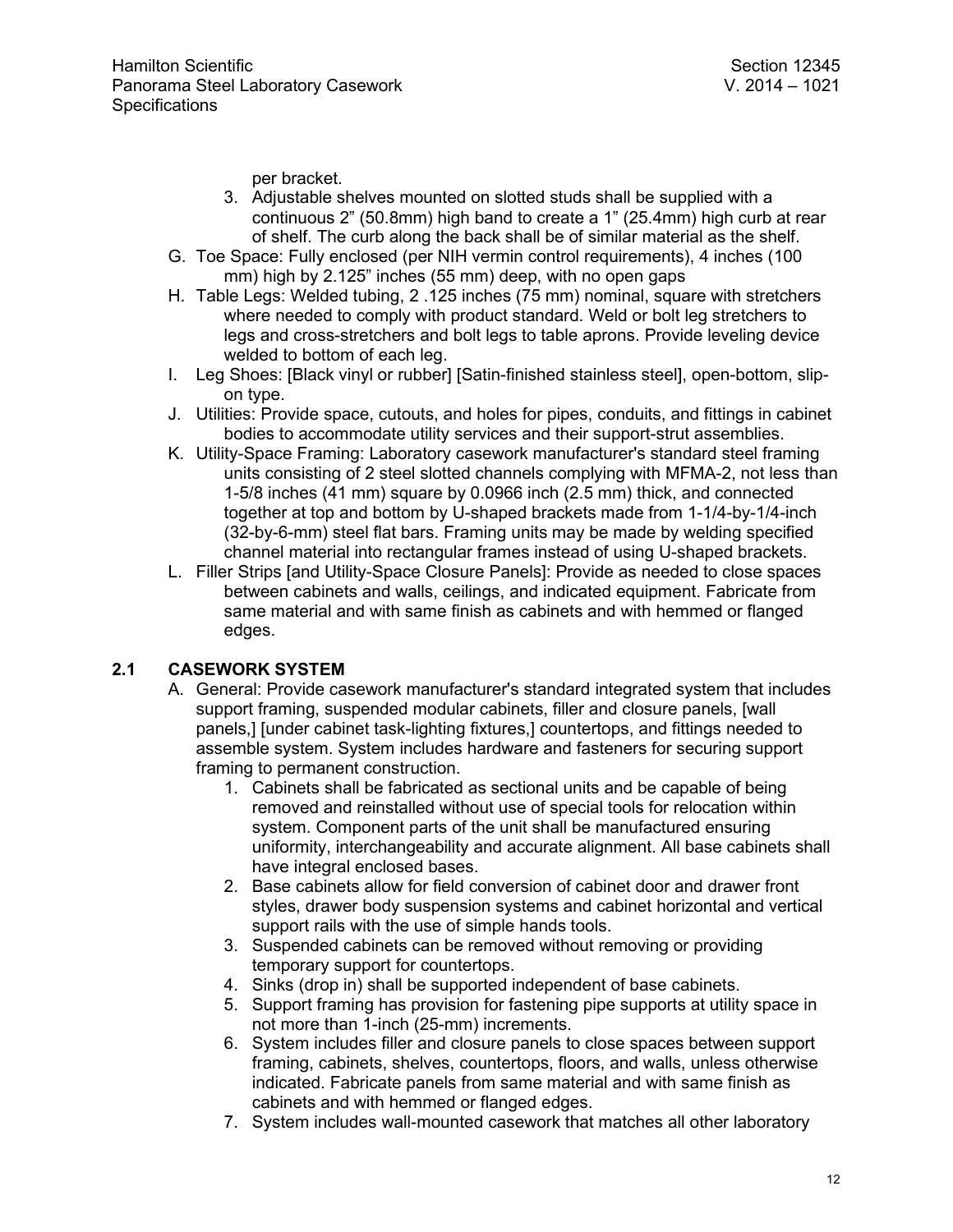per bracket.

- 3. Adjustable shelves mounted on slotted studs shall be supplied with a continuous 2" (50.8mm) high band to create a 1" (25.4mm) high curb at rear of shelf. The curb along the back shall be of similar material as the shelf.
- G. Toe Space: Fully enclosed (per NIH vermin control requirements), 4 inches (100 mm) high by 2.125" inches (55 mm) deep, with no open gaps
- H. Table Legs: Welded tubing, 2 .125 inches (75 mm) nominal, square with stretchers where needed to comply with product standard. Weld or bolt leg stretchers to legs and cross-stretchers and bolt legs to table aprons. Provide leveling device welded to bottom of each leg.
- I. Leg Shoes: [Black vinyl or rubber] [Satin-finished stainless steel], open-bottom, slipon type.
- J. Utilities: Provide space, cutouts, and holes for pipes, conduits, and fittings in cabinet bodies to accommodate utility services and their support-strut assemblies.
- K. Utility-Space Framing: Laboratory casework manufacturer's standard steel framing units consisting of 2 steel slotted channels complying with MFMA-2, not less than 1-5/8 inches (41 mm) square by 0.0966 inch (2.5 mm) thick, and connected together at top and bottom by U-shaped brackets made from 1-1/4-by-1/4-inch (32-by-6-mm) steel flat bars. Framing units may be made by welding specified channel material into rectangular frames instead of using U-shaped brackets.
- L. Filler Strips [and Utility-Space Closure Panels]: Provide as needed to close spaces between cabinets and walls, ceilings, and indicated equipment. Fabricate from same material and with same finish as cabinets and with hemmed or flanged edges.

# **2.1 CASEWORK SYSTEM**

- A. General: Provide casework manufacturer's standard integrated system that includes support framing, suspended modular cabinets, filler and closure panels, [wall panels,] [under cabinet task-lighting fixtures,] countertops, and fittings needed to assemble system. System includes hardware and fasteners for securing support framing to permanent construction.
	- 1. Cabinets shall be fabricated as sectional units and be capable of being removed and reinstalled without use of special tools for relocation within system. Component parts of the unit shall be manufactured ensuring uniformity, interchangeability and accurate alignment. All base cabinets shall have integral enclosed bases.
	- 2. Base cabinets allow for field conversion of cabinet door and drawer front styles, drawer body suspension systems and cabinet horizontal and vertical support rails with the use of simple hands tools.
	- 3. Suspended cabinets can be removed without removing or providing temporary support for countertops.
	- 4. Sinks (drop in) shall be supported independent of base cabinets.
	- 5. Support framing has provision for fastening pipe supports at utility space in not more than 1-inch (25-mm) increments.
	- 6. System includes filler and closure panels to close spaces between support framing, cabinets, shelves, countertops, floors, and walls, unless otherwise indicated. Fabricate panels from same material and with same finish as cabinets and with hemmed or flanged edges.
	- 7. System includes wall-mounted casework that matches all other laboratory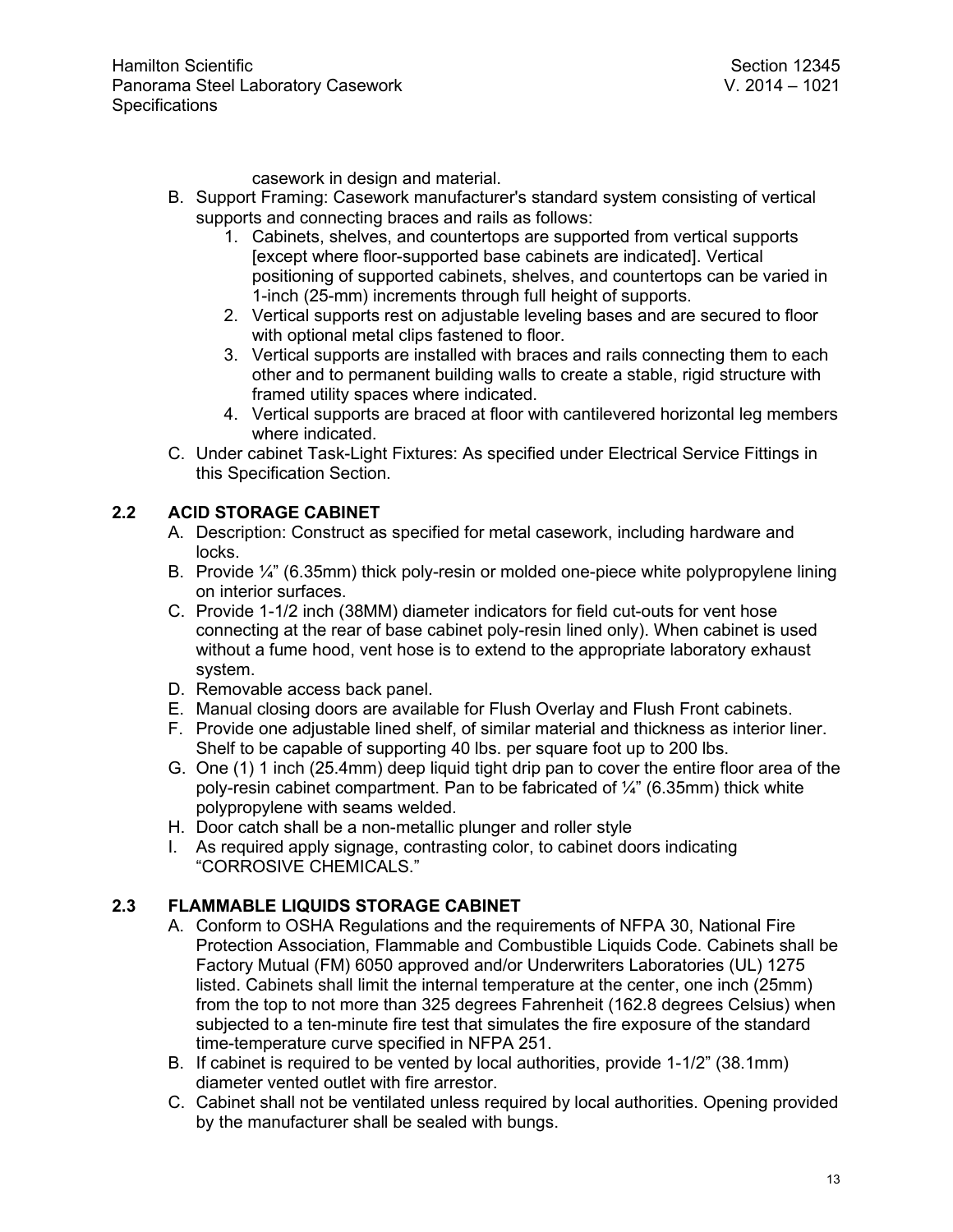casework in design and material.

- B. Support Framing: Casework manufacturer's standard system consisting of vertical supports and connecting braces and rails as follows:
	- 1. Cabinets, shelves, and countertops are supported from vertical supports [except where floor-supported base cabinets are indicated]. Vertical positioning of supported cabinets, shelves, and countertops can be varied in 1-inch (25-mm) increments through full height of supports.
	- 2. Vertical supports rest on adjustable leveling bases and are secured to floor with optional metal clips fastened to floor.
	- 3. Vertical supports are installed with braces and rails connecting them to each other and to permanent building walls to create a stable, rigid structure with framed utility spaces where indicated.
	- 4. Vertical supports are braced at floor with cantilevered horizontal leg members where indicated.
- C. Under cabinet Task-Light Fixtures: As specified under Electrical Service Fittings in this Specification Section.

# **2.2 ACID STORAGE CABINET**

- A. Description: Construct as specified for metal casework, including hardware and locks.
- B. Provide ¼" (6.35mm) thick poly-resin or molded one-piece white polypropylene lining on interior surfaces.
- C. Provide 1-1/2 inch (38MM) diameter indicators for field cut-outs for vent hose connecting at the rear of base cabinet poly-resin lined only). When cabinet is used without a fume hood, vent hose is to extend to the appropriate laboratory exhaust system.
- D. Removable access back panel.
- E. Manual closing doors are available for Flush Overlay and Flush Front cabinets.
- F. Provide one adjustable lined shelf, of similar material and thickness as interior liner. Shelf to be capable of supporting 40 lbs. per square foot up to 200 lbs.
- G. One (1) 1 inch (25.4mm) deep liquid tight drip pan to cover the entire floor area of the poly-resin cabinet compartment. Pan to be fabricated of  $\frac{1}{4}$ " (6.35mm) thick white polypropylene with seams welded.
- H. Door catch shall be a non-metallic plunger and roller style
- I. As required apply signage, contrasting color, to cabinet doors indicating "CORROSIVE CHEMICALS."

# **2.3 FLAMMABLE LIQUIDS STORAGE CABINET**

- A. Conform to OSHA Regulations and the requirements of NFPA 30, National Fire Protection Association, Flammable and Combustible Liquids Code. Cabinets shall be Factory Mutual (FM) 6050 approved and/or Underwriters Laboratories (UL) 1275 listed. Cabinets shall limit the internal temperature at the center, one inch (25mm) from the top to not more than 325 degrees Fahrenheit (162.8 degrees Celsius) when subjected to a ten-minute fire test that simulates the fire exposure of the standard time-temperature curve specified in NFPA 251.
- B. If cabinet is required to be vented by local authorities, provide 1-1/2" (38.1mm) diameter vented outlet with fire arrestor.
- C. Cabinet shall not be ventilated unless required by local authorities. Opening provided by the manufacturer shall be sealed with bungs.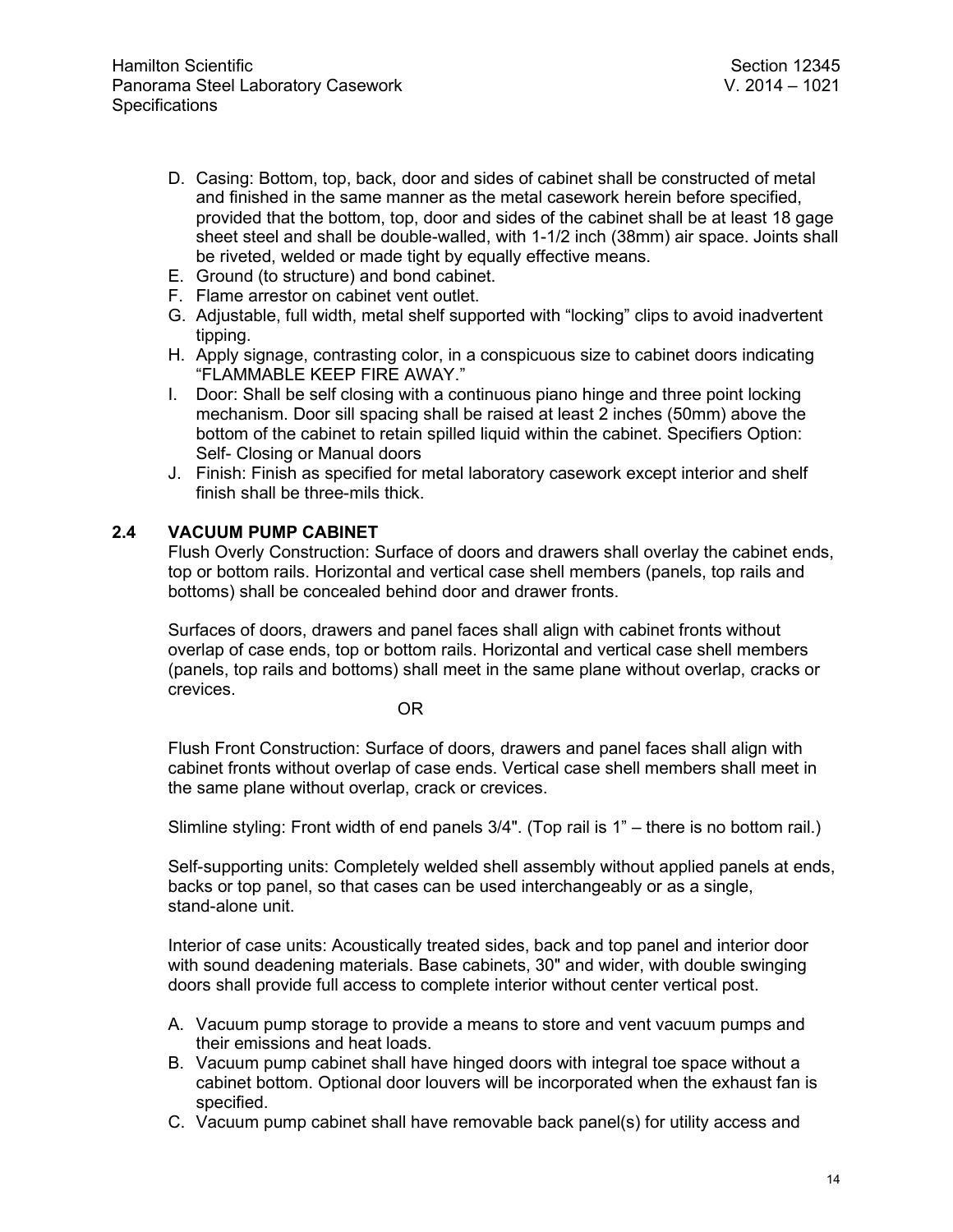- D. Casing: Bottom, top, back, door and sides of cabinet shall be constructed of metal and finished in the same manner as the metal casework herein before specified, provided that the bottom, top, door and sides of the cabinet shall be at least 18 gage sheet steel and shall be double-walled, with 1-1/2 inch (38mm) air space. Joints shall be riveted, welded or made tight by equally effective means.
- E. Ground (to structure) and bond cabinet.
- F. Flame arrestor on cabinet vent outlet.
- G. Adjustable, full width, metal shelf supported with "locking" clips to avoid inadvertent tipping.
- H. Apply signage, contrasting color, in a conspicuous size to cabinet doors indicating "FLAMMABLE KEEP FIRE AWAY."
- I. Door: Shall be self closing with a continuous piano hinge and three point locking mechanism. Door sill spacing shall be raised at least 2 inches (50mm) above the bottom of the cabinet to retain spilled liquid within the cabinet. Specifiers Option: Self- Closing or Manual doors
- J. Finish: Finish as specified for metal laboratory casework except interior and shelf finish shall be three-mils thick.

### **2.4 VACUUM PUMP CABINET**

Flush Overly Construction: Surface of doors and drawers shall overlay the cabinet ends, top or bottom rails. Horizontal and vertical case shell members (panels, top rails and bottoms) shall be concealed behind door and drawer fronts.

Surfaces of doors, drawers and panel faces shall align with cabinet fronts without overlap of case ends, top or bottom rails. Horizontal and vertical case shell members (panels, top rails and bottoms) shall meet in the same plane without overlap, cracks or crevices.

OR

Flush Front Construction: Surface of doors, drawers and panel faces shall align with cabinet fronts without overlap of case ends. Vertical case shell members shall meet in the same plane without overlap, crack or crevices.

Slimline styling: Front width of end panels 3/4". (Top rail is 1" – there is no bottom rail.)

Self-supporting units: Completely welded shell assembly without applied panels at ends, backs or top panel, so that cases can be used interchangeably or as a single, stand-alone unit.

Interior of case units: Acoustically treated sides, back and top panel and interior door with sound deadening materials. Base cabinets, 30" and wider, with double swinging doors shall provide full access to complete interior without center vertical post.

- A. Vacuum pump storage to provide a means to store and vent vacuum pumps and their emissions and heat loads.
- B. Vacuum pump cabinet shall have hinged doors with integral toe space without a cabinet bottom. Optional door louvers will be incorporated when the exhaust fan is specified.
- C. Vacuum pump cabinet shall have removable back panel(s) for utility access and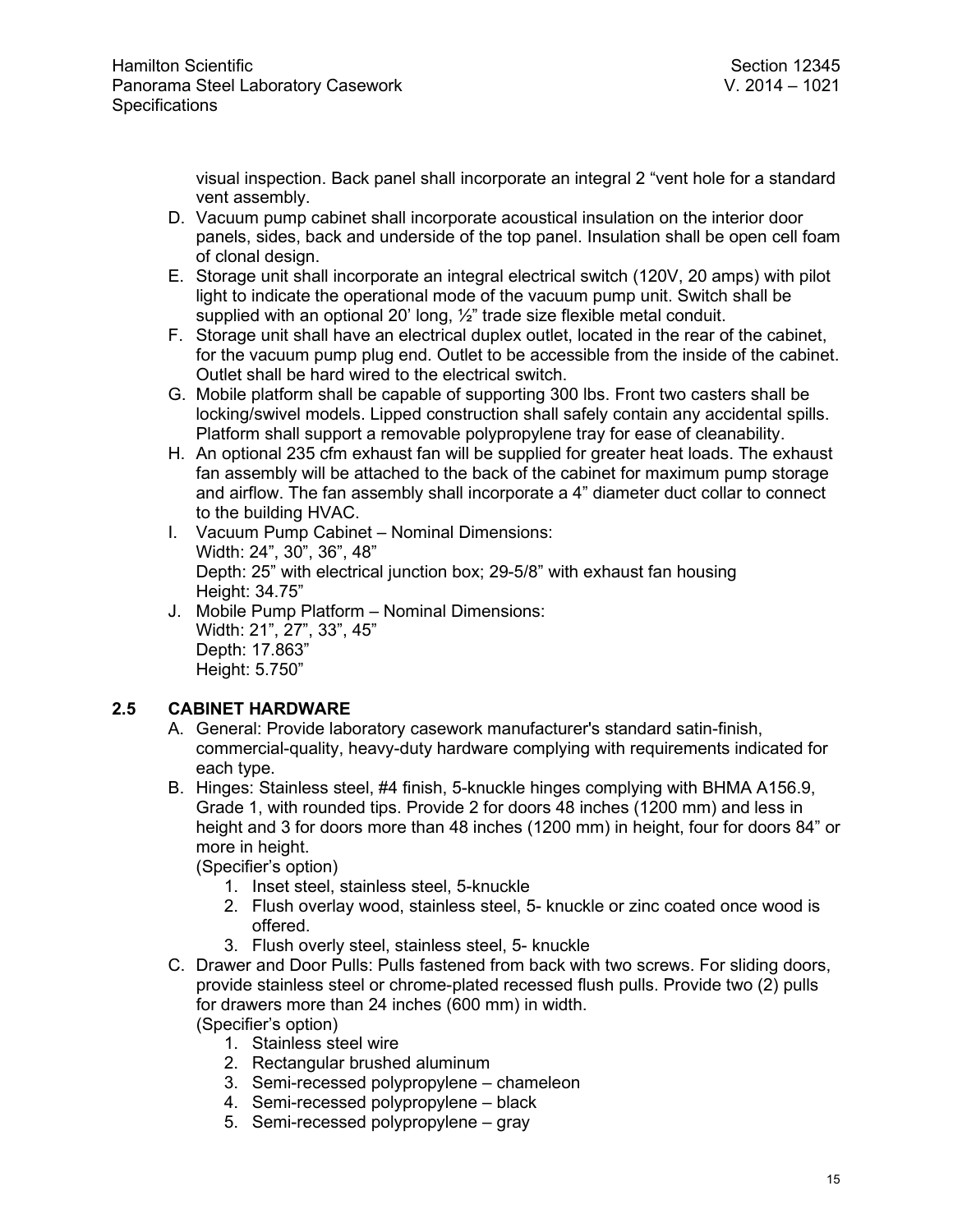visual inspection. Back panel shall incorporate an integral 2 "vent hole for a standard vent assembly.

- D. Vacuum pump cabinet shall incorporate acoustical insulation on the interior door panels, sides, back and underside of the top panel. Insulation shall be open cell foam of clonal design.
- E. Storage unit shall incorporate an integral electrical switch (120V, 20 amps) with pilot light to indicate the operational mode of the vacuum pump unit. Switch shall be supplied with an optional 20' long, ½" trade size flexible metal conduit.
- F. Storage unit shall have an electrical duplex outlet, located in the rear of the cabinet, for the vacuum pump plug end. Outlet to be accessible from the inside of the cabinet. Outlet shall be hard wired to the electrical switch.
- G. Mobile platform shall be capable of supporting 300 lbs. Front two casters shall be locking/swivel models. Lipped construction shall safely contain any accidental spills. Platform shall support a removable polypropylene tray for ease of cleanability.
- H. An optional 235 cfm exhaust fan will be supplied for greater heat loads. The exhaust fan assembly will be attached to the back of the cabinet for maximum pump storage and airflow. The fan assembly shall incorporate a 4" diameter duct collar to connect to the building HVAC.
- I. Vacuum Pump Cabinet Nominal Dimensions: Width: 24", 30", 36", 48" Depth: 25" with electrical junction box; 29-5/8" with exhaust fan housing Height: 34.75"
- J. Mobile Pump Platform Nominal Dimensions: Width: 21", 27", 33", 45" Depth: 17.863" Height: 5.750"

# **2.5 CABINET HARDWARE**

- A. General: Provide laboratory casework manufacturer's standard satin-finish, commercial-quality, heavy-duty hardware complying with requirements indicated for each type.
- B. Hinges: Stainless steel, #4 finish, 5-knuckle hinges complying with BHMA A156.9, Grade 1, with rounded tips. Provide 2 for doors 48 inches (1200 mm) and less in height and 3 for doors more than 48 inches (1200 mm) in height, four for doors 84" or more in height.
	- (Specifier's option)
		- 1. Inset steel, stainless steel, 5-knuckle
		- 2. Flush overlay wood, stainless steel, 5- knuckle or zinc coated once wood is offered.
		- 3. Flush overly steel, stainless steel, 5- knuckle
- C. Drawer and Door Pulls: Pulls fastened from back with two screws. For sliding doors, provide stainless steel or chrome-plated recessed flush pulls. Provide two (2) pulls for drawers more than 24 inches (600 mm) in width. (Specifier's option)
	- 1. Stainless steel wire
	- 2. Rectangular brushed aluminum
	- 3. Semi-recessed polypropylene chameleon
	- 4. Semi-recessed polypropylene black
	- 5. Semi-recessed polypropylene gray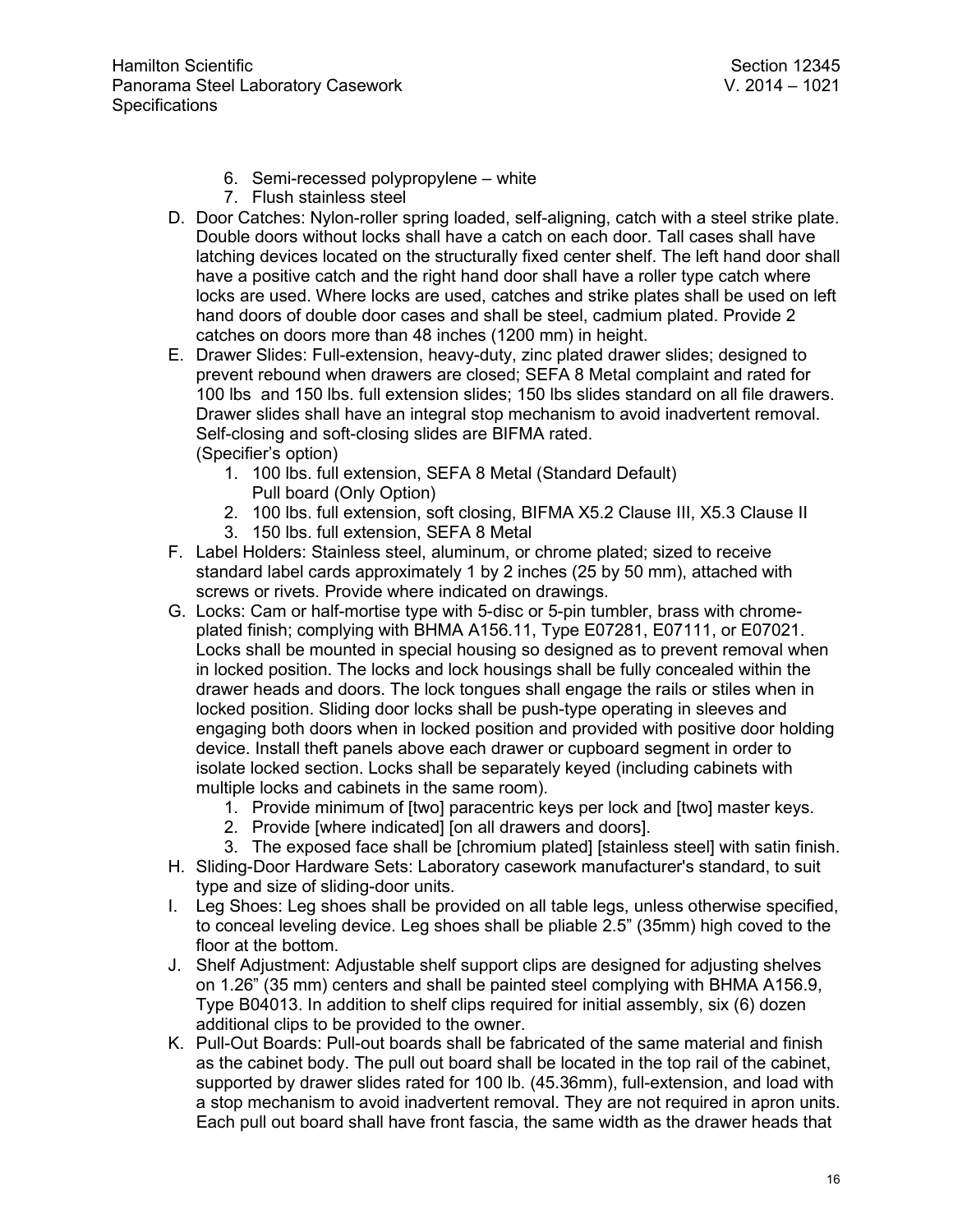- 6. Semi-recessed polypropylene white
- 7. Flush stainless steel
- D. Door Catches: Nylon-roller spring loaded, self-aligning, catch with a steel strike plate. Double doors without locks shall have a catch on each door. Tall cases shall have latching devices located on the structurally fixed center shelf. The left hand door shall have a positive catch and the right hand door shall have a roller type catch where locks are used. Where locks are used, catches and strike plates shall be used on left hand doors of double door cases and shall be steel, cadmium plated. Provide 2 catches on doors more than 48 inches (1200 mm) in height.
- E. Drawer Slides: Full-extension, heavy-duty, zinc plated drawer slides; designed to prevent rebound when drawers are closed; SEFA 8 Metal complaint and rated for 100 lbs and 150 lbs. full extension slides; 150 lbs slides standard on all file drawers. Drawer slides shall have an integral stop mechanism to avoid inadvertent removal. Self-closing and soft-closing slides are BIFMA rated. (Specifier's option)
	- 1. 100 lbs. full extension, SEFA 8 Metal (Standard Default) Pull board (Only Option)
	- 2. 100 lbs. full extension, soft closing, BIFMA X5.2 Clause III, X5.3 Clause II
	- 3. 150 lbs. full extension, SEFA 8 Metal
- F. Label Holders: Stainless steel, aluminum, or chrome plated; sized to receive standard label cards approximately 1 by 2 inches (25 by 50 mm), attached with screws or rivets. Provide where indicated on drawings.
- G. Locks: Cam or half-mortise type with 5-disc or 5-pin tumbler, brass with chromeplated finish; complying with BHMA A156.11, Type E07281, E07111, or E07021. Locks shall be mounted in special housing so designed as to prevent removal when in locked position. The locks and lock housings shall be fully concealed within the drawer heads and doors. The lock tongues shall engage the rails or stiles when in locked position. Sliding door locks shall be push-type operating in sleeves and engaging both doors when in locked position and provided with positive door holding device. Install theft panels above each drawer or cupboard segment in order to isolate locked section. Locks shall be separately keyed (including cabinets with multiple locks and cabinets in the same room).
	- 1. Provide minimum of [two] paracentric keys per lock and [two] master keys.
	- 2. Provide [where indicated] [on all drawers and doors].
	- 3. The exposed face shall be [chromium plated] [stainless steel] with satin finish.
- H. Sliding-Door Hardware Sets: Laboratory casework manufacturer's standard, to suit type and size of sliding-door units.
- I. Leg Shoes: Leg shoes shall be provided on all table legs, unless otherwise specified, to conceal leveling device. Leg shoes shall be pliable 2.5" (35mm) high coved to the floor at the bottom.
- J. Shelf Adjustment: Adjustable shelf support clips are designed for adjusting shelves on 1.26" (35 mm) centers and shall be painted steel complying with BHMA A156.9, Type B04013. In addition to shelf clips required for initial assembly, six (6) dozen additional clips to be provided to the owner.
- K. Pull-Out Boards: Pull-out boards shall be fabricated of the same material and finish as the cabinet body. The pull out board shall be located in the top rail of the cabinet, supported by drawer slides rated for 100 lb. (45.36mm), full-extension, and load with a stop mechanism to avoid inadvertent removal. They are not required in apron units. Each pull out board shall have front fascia, the same width as the drawer heads that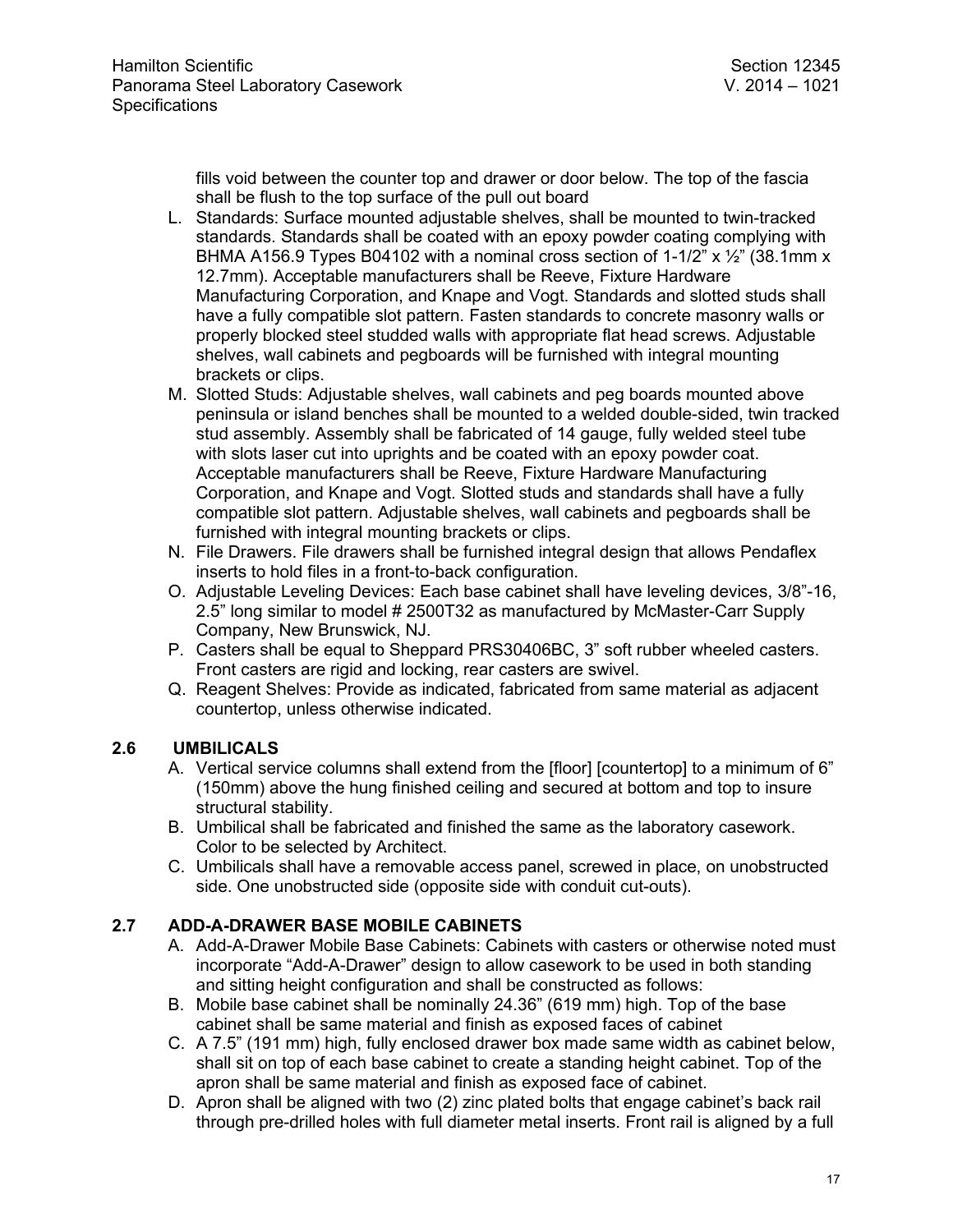fills void between the counter top and drawer or door below. The top of the fascia shall be flush to the top surface of the pull out board

- L. Standards: Surface mounted adjustable shelves, shall be mounted to twin-tracked standards. Standards shall be coated with an epoxy powder coating complying with BHMA A156.9 Types B04102 with a nominal cross section of 1-1/2" x  $\frac{1}{2}$ " (38.1mm x 12.7mm). Acceptable manufacturers shall be Reeve, Fixture Hardware Manufacturing Corporation, and Knape and Vogt. Standards and slotted studs shall have a fully compatible slot pattern. Fasten standards to concrete masonry walls or properly blocked steel studded walls with appropriate flat head screws. Adjustable shelves, wall cabinets and pegboards will be furnished with integral mounting brackets or clips.
- M. Slotted Studs: Adjustable shelves, wall cabinets and peg boards mounted above peninsula or island benches shall be mounted to a welded double-sided, twin tracked stud assembly. Assembly shall be fabricated of 14 gauge, fully welded steel tube with slots laser cut into uprights and be coated with an epoxy powder coat. Acceptable manufacturers shall be Reeve, Fixture Hardware Manufacturing Corporation, and Knape and Vogt. Slotted studs and standards shall have a fully compatible slot pattern. Adjustable shelves, wall cabinets and pegboards shall be furnished with integral mounting brackets or clips.
- N. File Drawers. File drawers shall be furnished integral design that allows Pendaflex inserts to hold files in a front-to-back configuration.
- O. Adjustable Leveling Devices: Each base cabinet shall have leveling devices, 3/8"-16, 2.5" long similar to model # 2500T32 as manufactured by McMaster-Carr Supply Company, New Brunswick, NJ.
- P. Casters shall be equal to Sheppard PRS30406BC, 3" soft rubber wheeled casters. Front casters are rigid and locking, rear casters are swivel.
- Q. Reagent Shelves: Provide as indicated, fabricated from same material as adjacent countertop, unless otherwise indicated.

# **2.6 UMBILICALS**

- A. Vertical service columns shall extend from the [floor] [countertop] to a minimum of 6" (150mm) above the hung finished ceiling and secured at bottom and top to insure structural stability.
- B. Umbilical shall be fabricated and finished the same as the laboratory casework. Color to be selected by Architect.
- C. Umbilicals shall have a removable access panel, screwed in place, on unobstructed side. One unobstructed side (opposite side with conduit cut-outs).

# **2.7 ADD-A-DRAWER BASE MOBILE CABINETS**

- A. Add-A-Drawer Mobile Base Cabinets: Cabinets with casters or otherwise noted must incorporate "Add-A-Drawer" design to allow casework to be used in both standing and sitting height configuration and shall be constructed as follows:
- B. Mobile base cabinet shall be nominally 24.36" (619 mm) high. Top of the base cabinet shall be same material and finish as exposed faces of cabinet
- C. A 7.5" (191 mm) high, fully enclosed drawer box made same width as cabinet below, shall sit on top of each base cabinet to create a standing height cabinet. Top of the apron shall be same material and finish as exposed face of cabinet.
- D. Apron shall be aligned with two (2) zinc plated bolts that engage cabinet's back rail through pre-drilled holes with full diameter metal inserts. Front rail is aligned by a full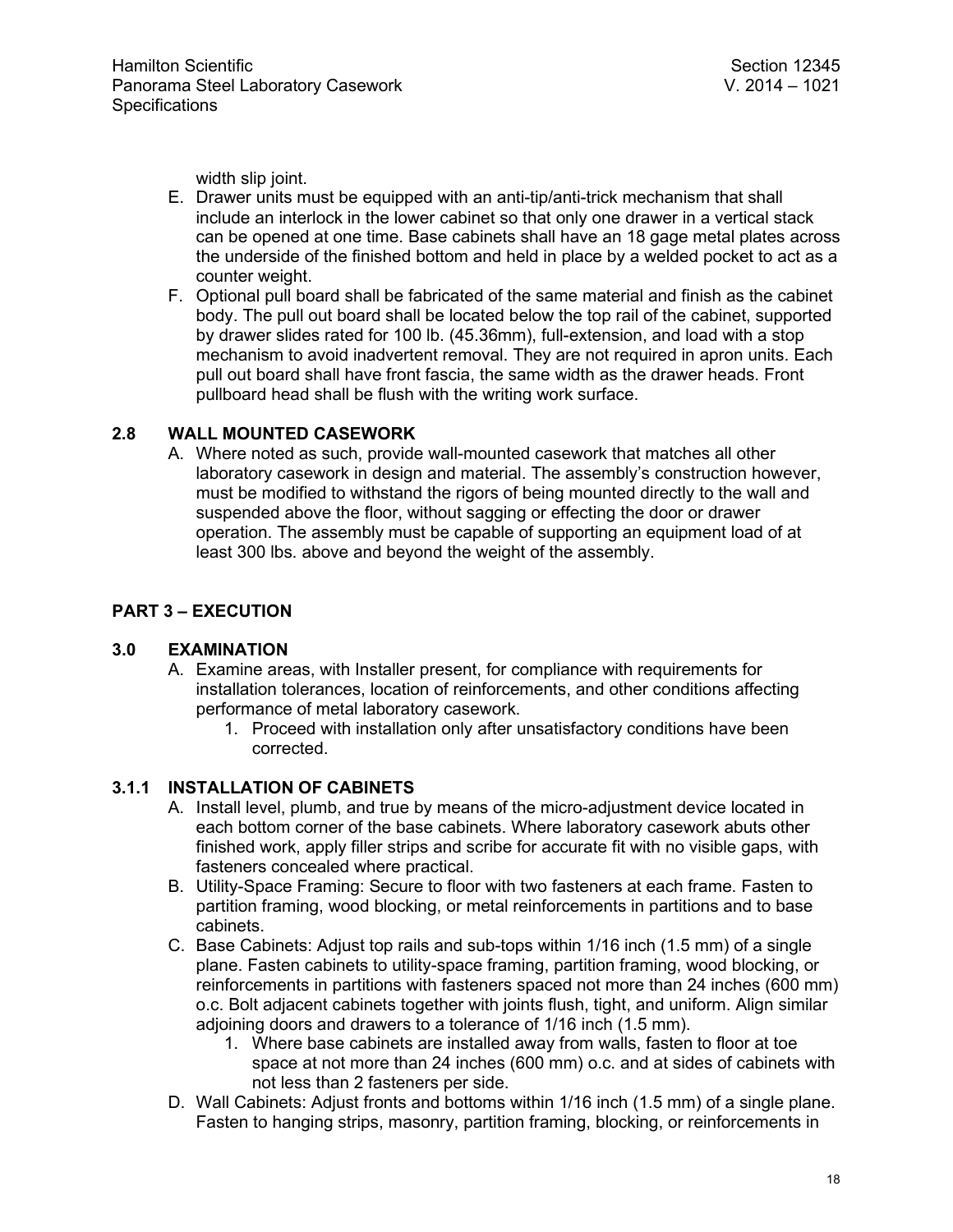width slip joint.

- E. Drawer units must be equipped with an anti-tip/anti-trick mechanism that shall include an interlock in the lower cabinet so that only one drawer in a vertical stack can be opened at one time. Base cabinets shall have an 18 gage metal plates across the underside of the finished bottom and held in place by a welded pocket to act as a counter weight.
- F. Optional pull board shall be fabricated of the same material and finish as the cabinet body. The pull out board shall be located below the top rail of the cabinet, supported by drawer slides rated for 100 lb. (45.36mm), full-extension, and load with a stop mechanism to avoid inadvertent removal. They are not required in apron units. Each pull out board shall have front fascia, the same width as the drawer heads. Front pullboard head shall be flush with the writing work surface.

### **2.8 WALL MOUNTED CASEWORK**

A. Where noted as such, provide wall-mounted casework that matches all other laboratory casework in design and material. The assembly's construction however, must be modified to withstand the rigors of being mounted directly to the wall and suspended above the floor, without sagging or effecting the door or drawer operation. The assembly must be capable of supporting an equipment load of at least 300 lbs. above and beyond the weight of the assembly.

# **PART 3 – EXECUTION**

### **3.0 EXAMINATION**

- A. Examine areas, with Installer present, for compliance with requirements for installation tolerances, location of reinforcements, and other conditions affecting performance of metal laboratory casework.
	- 1. Proceed with installation only after unsatisfactory conditions have been corrected.

### **3.1.1 INSTALLATION OF CABINETS**

- A. Install level, plumb, and true by means of the micro-adjustment device located in each bottom corner of the base cabinets. Where laboratory casework abuts other finished work, apply filler strips and scribe for accurate fit with no visible gaps, with fasteners concealed where practical.
- B. Utility-Space Framing: Secure to floor with two fasteners at each frame. Fasten to partition framing, wood blocking, or metal reinforcements in partitions and to base cabinets.
- C. Base Cabinets: Adjust top rails and sub-tops within 1/16 inch (1.5 mm) of a single plane. Fasten cabinets to utility-space framing, partition framing, wood blocking, or reinforcements in partitions with fasteners spaced not more than 24 inches (600 mm) o.c. Bolt adjacent cabinets together with joints flush, tight, and uniform. Align similar adjoining doors and drawers to a tolerance of 1/16 inch (1.5 mm).
	- 1. Where base cabinets are installed away from walls, fasten to floor at toe space at not more than 24 inches (600 mm) o.c. and at sides of cabinets with not less than 2 fasteners per side.
- D. Wall Cabinets: Adjust fronts and bottoms within 1/16 inch (1.5 mm) of a single plane. Fasten to hanging strips, masonry, partition framing, blocking, or reinforcements in